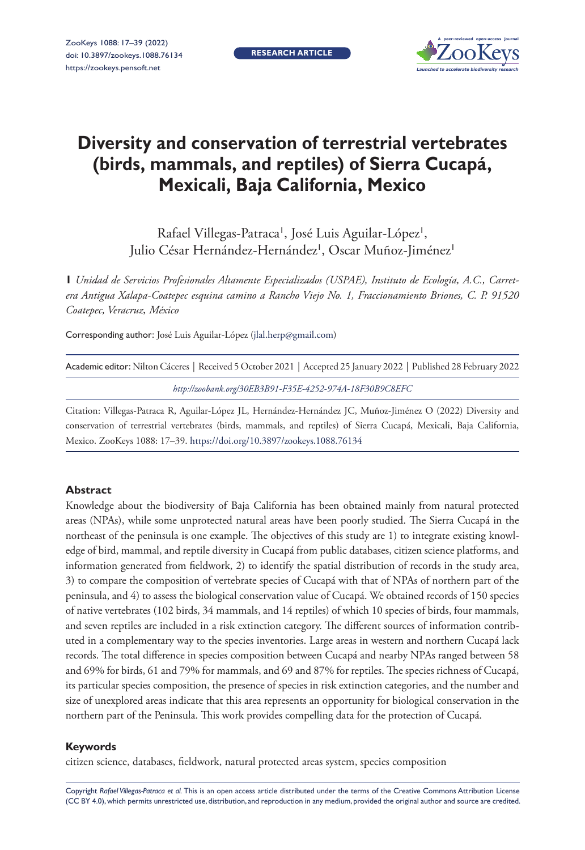**RESEARCH ARTICLE**



# **Diversity and conservation of terrestrial vertebrates (birds, mammals, and reptiles) of Sierra Cucapá, Mexicali, Baja California, Mexico**

Rafael Villegas-Patraca', José Luis Aguilar-López', Julio César Hernández-Hernández<sup>1</sup>, Oscar Muñoz-Jiménez<sup>1</sup>

**1** *Unidad de Servicios Profesionales Altamente Especializados (USPAE), Instituto de Ecología, A.C., Carretera Antigua Xalapa-Coatepec esquina camino a Rancho Viejo No. 1, Fraccionamiento Briones, C. P. 91520 Coatepec, Veracruz, México*

Corresponding author: José Luis Aguilar-López ([jlal.herp@gmail.com\)](mailto:jlal.herp@gmail.com)

| Academic editor: Nilton Cáceres   Received 5 October 2021   Accepted 25 January 2022   Published 28 February 2022 |  |
|-------------------------------------------------------------------------------------------------------------------|--|
| http://zoobank.org/30EB3B91-F35E-4252-974A-18F30B9C8EFC                                                           |  |

Citation: Villegas-Patraca R, Aguilar-López JL, Hernández-Hernández JC, Muñoz-Jiménez O (2022) Diversity and conservation of terrestrial vertebrates (birds, mammals, and reptiles) of Sierra Cucapá, Mexicali, Baja California, Mexico. ZooKeys 1088: 17–39.<https://doi.org/10.3897/zookeys.1088.76134>

#### **Abstract**

Knowledge about the biodiversity of Baja California has been obtained mainly from natural protected areas (NPAs), while some unprotected natural areas have been poorly studied. The Sierra Cucapá in the northeast of the peninsula is one example. The objectives of this study are 1) to integrate existing knowledge of bird, mammal, and reptile diversity in Cucapá from public databases, citizen science platforms, and information generated from fieldwork, 2) to identify the spatial distribution of records in the study area, 3) to compare the composition of vertebrate species of Cucapá with that of NPAs of northern part of the peninsula, and 4) to assess the biological conservation value of Cucapá. We obtained records of 150 species of native vertebrates (102 birds, 34 mammals, and 14 reptiles) of which 10 species of birds, four mammals, and seven reptiles are included in a risk extinction category. The different sources of information contributed in a complementary way to the species inventories. Large areas in western and northern Cucapá lack records. The total difference in species composition between Cucapá and nearby NPAs ranged between 58 and 69% for birds, 61 and 79% for mammals, and 69 and 87% for reptiles. The species richness of Cucapá, its particular species composition, the presence of species in risk extinction categories, and the number and size of unexplored areas indicate that this area represents an opportunity for biological conservation in the northern part of the Peninsula. This work provides compelling data for the protection of Cucapá.

#### **Keywords**

citizen science, databases, fieldwork, natural protected areas system, species composition

Copyright *Rafael Villegas-Patraca et al.* This is an open access article distributed under the terms of the [Creative Commons Attribution License](http://creativecommons.org/licenses/by/4.0/)  [\(CC BY 4.0\)](http://creativecommons.org/licenses/by/4.0/), which permits unrestricted use, distribution, and reproduction in any medium, provided the original author and source are credited.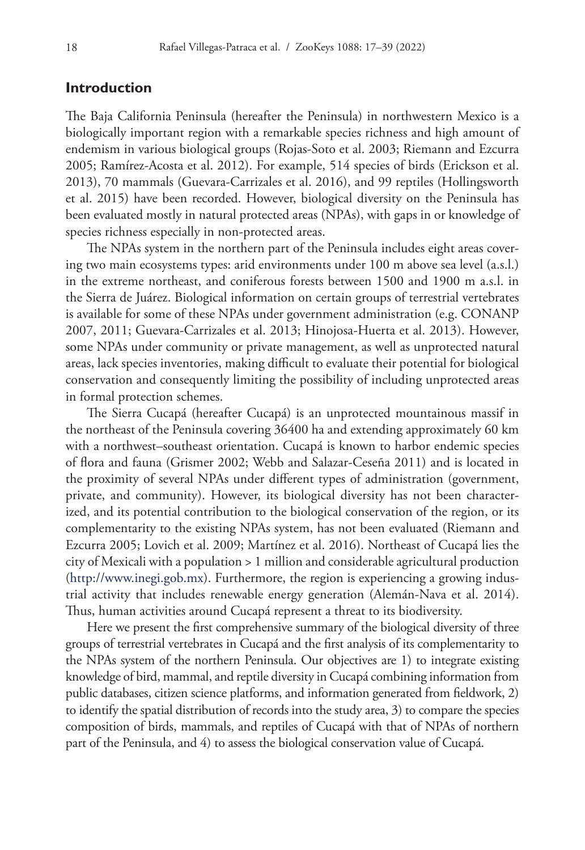# **Introduction**

The Baja California Peninsula (hereafter the Peninsula) in northwestern Mexico is a biologically important region with a remarkable species richness and high amount of endemism in various biological groups (Rojas-Soto et al. 2003; Riemann and Ezcurra 2005; Ramírez-Acosta et al. 2012). For example, 514 species of birds (Erickson et al. 2013), 70 mammals (Guevara-Carrizales et al. 2016), and 99 reptiles (Hollingsworth et al. 2015) have been recorded. However, biological diversity on the Peninsula has been evaluated mostly in natural protected areas (NPAs), with gaps in or knowledge of species richness especially in non-protected areas.

The NPAs system in the northern part of the Peninsula includes eight areas covering two main ecosystems types: arid environments under 100 m above sea level (a.s.l.) in the extreme northeast, and coniferous forests between 1500 and 1900 m a.s.l. in the Sierra de Juárez. Biological information on certain groups of terrestrial vertebrates is available for some of these NPAs under government administration (e.g. CONANP 2007, 2011; Guevara-Carrizales et al. 2013; Hinojosa-Huerta et al. 2013). However, some NPAs under community or private management, as well as unprotected natural areas, lack species inventories, making difficult to evaluate their potential for biological conservation and consequently limiting the possibility of including unprotected areas in formal protection schemes.

The Sierra Cucapá (hereafter Cucapá) is an unprotected mountainous massif in the northeast of the Peninsula covering 36400 ha and extending approximately 60 km with a northwest–southeast orientation. Cucapá is known to harbor endemic species of flora and fauna (Grismer 2002; Webb and Salazar-Ceseña 2011) and is located in the proximity of several NPAs under different types of administration (government, private, and community). However, its biological diversity has not been characterized, and its potential contribution to the biological conservation of the region, or its complementarity to the existing NPAs system, has not been evaluated (Riemann and Ezcurra 2005; Lovich et al. 2009; Martínez et al. 2016). Northeast of Cucapá lies the city of Mexicali with a population > 1 million and considerable agricultural production ([http://www.inegi.gob.mx\)](http://www.inegi.gob.mx). Furthermore, the region is experiencing a growing industrial activity that includes renewable energy generation (Alemán-Nava et al. 2014). Thus, human activities around Cucapá represent a threat to its biodiversity.

Here we present the first comprehensive summary of the biological diversity of three groups of terrestrial vertebrates in Cucapá and the first analysis of its complementarity to the NPAs system of the northern Peninsula. Our objectives are 1) to integrate existing knowledge of bird, mammal, and reptile diversity in Cucapá combining information from public databases, citizen science platforms, and information generated from fieldwork, 2) to identify the spatial distribution of records into the study area, 3) to compare the species composition of birds, mammals, and reptiles of Cucapá with that of NPAs of northern part of the Peninsula, and 4) to assess the biological conservation value of Cucapá.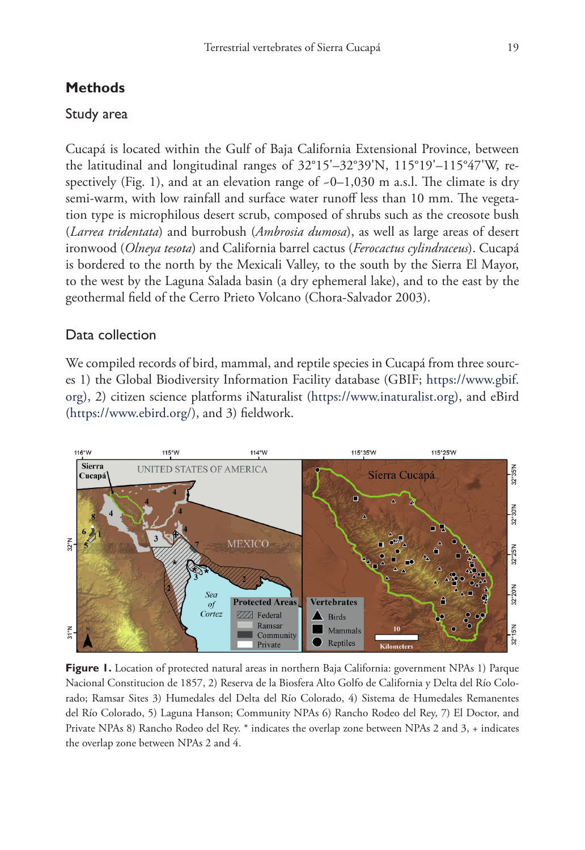# **Methods**

## Study area

Cucapá is located within the Gulf of Baja California Extensional Province, between the latitudinal and longitudinal ranges of 32°15'–32°39'N, 115°19'–115°47'W, respectively (Fig. 1), and at an elevation range of  $-0-1,030$  m a.s.l. The climate is dry semi-warm, with low rainfall and surface water runoff less than 10 mm. The vegetation type is microphilous desert scrub, composed of shrubs such as the creosote bush (*Larrea tridentata*) and burrobush (*Ambrosia dumosa*), as well as large areas of desert ironwood (*Olneya tesota*) and California barrel cactus (*Ferocactus cylindraceus*). Cucapá is bordered to the north by the Mexicali Valley, to the south by the Sierra El Mayor, to the west by the Laguna Salada basin (a dry ephemeral lake), and to the east by the geothermal field of the Cerro Prieto Volcano (Chora-Salvador 2003).

# Data collection

We compiled records of bird, mammal, and reptile species in Cucapá from three sources 1) the Global Biodiversity Information Facility database (GBIF; [https://www.gbif.](https://www.gbif.org) [org](https://www.gbif.org)), 2) citizen science platforms iNaturalist (<https://www.inaturalist.org>), and eBird (<https://www.ebird.org/>), and 3) fieldwork.



**Figure 1.** Location of protected natural areas in northern Baja California: government NPAs 1) Parque Nacional Constitucion de 1857, 2) Reserva de la Biosfera Alto Golfo de California y Delta del Río Colorado; Ramsar Sites 3) Humedales del Delta del Río Colorado, 4) Sistema de Humedales Remanentes del Río Colorado, 5) Laguna Hanson; Community NPAs 6) Rancho Rodeo del Rey, 7) El Doctor, and Private NPAs 8) Rancho Rodeo del Rey. \* indicates the overlap zone between NPAs 2 and 3, + indicates the overlap zone between NPAs 2 and 4.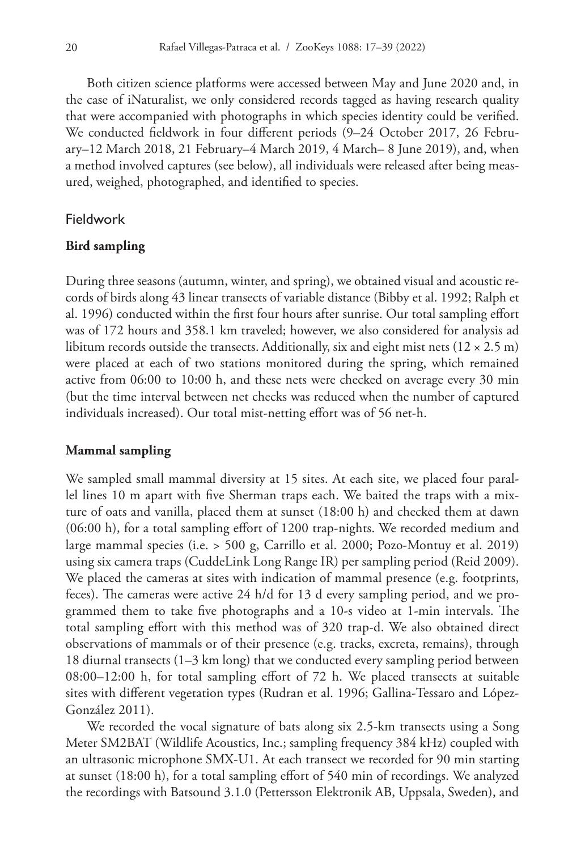Both citizen science platforms were accessed between May and June 2020 and, in the case of iNaturalist, we only considered records tagged as having research quality that were accompanied with photographs in which species identity could be verified. We conducted fieldwork in four different periods (9–24 October 2017, 26 February–12 March 2018, 21 February–4 March 2019, 4 March– 8 June 2019), and, when a method involved captures (see below), all individuals were released after being measured, weighed, photographed, and identified to species.

## Fieldwork

#### **Bird sampling**

During three seasons (autumn, winter, and spring), we obtained visual and acoustic records of birds along 43 linear transects of variable distance (Bibby et al. 1992; Ralph et al. 1996) conducted within the first four hours after sunrise. Our total sampling effort was of 172 hours and 358.1 km traveled; however, we also considered for analysis ad libitum records outside the transects. Additionally, six and eight mist nets ( $12 \times 2.5$  m) were placed at each of two stations monitored during the spring, which remained active from 06:00 to 10:00 h, and these nets were checked on average every 30 min (but the time interval between net checks was reduced when the number of captured individuals increased). Our total mist-netting effort was of 56 net-h.

### **Mammal sampling**

We sampled small mammal diversity at 15 sites. At each site, we placed four parallel lines 10 m apart with five Sherman traps each. We baited the traps with a mixture of oats and vanilla, placed them at sunset (18:00 h) and checked them at dawn (06:00 h), for a total sampling effort of 1200 trap-nights. We recorded medium and large mammal species (i.e. > 500 g, Carrillo et al. 2000; Pozo-Montuy et al. 2019) using six camera traps (CuddeLink Long Range IR) per sampling period (Reid 2009). We placed the cameras at sites with indication of mammal presence (e.g. footprints, feces). The cameras were active 24 h/d for 13 d every sampling period, and we programmed them to take five photographs and a 10-s video at 1-min intervals. The total sampling effort with this method was of 320 trap-d. We also obtained direct observations of mammals or of their presence (e.g. tracks, excreta, remains), through 18 diurnal transects (1–3 km long) that we conducted every sampling period between 08:00–12:00 h, for total sampling effort of 72 h. We placed transects at suitable sites with different vegetation types (Rudran et al. 1996; Gallina-Tessaro and López-González 2011).

We recorded the vocal signature of bats along six 2.5-km transects using a Song Meter SM2BAT (Wildlife Acoustics, Inc.; sampling frequency 384 kHz) coupled with an ultrasonic microphone SMX-U1. At each transect we recorded for 90 min starting at sunset (18:00 h), for a total sampling effort of 540 min of recordings. We analyzed the recordings with Batsound 3.1.0 (Pettersson Elektronik AB, Uppsala, Sweden), and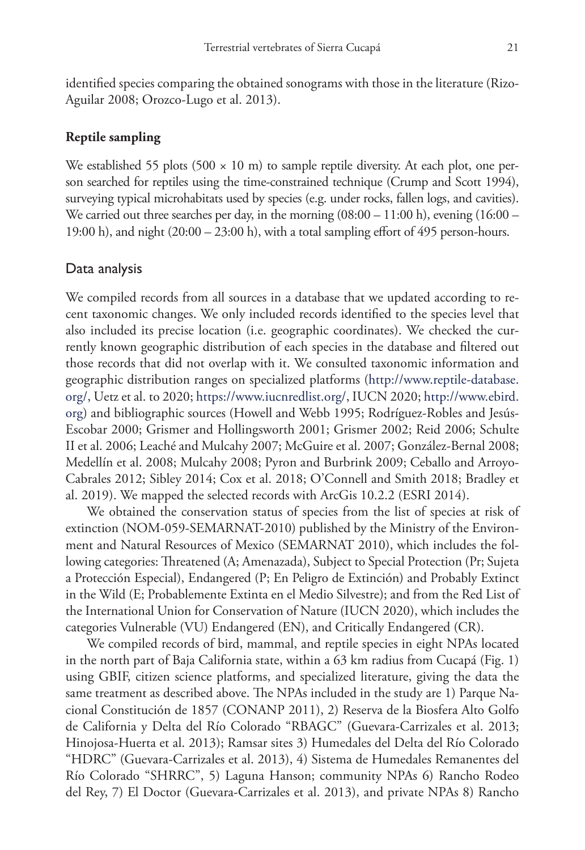identified species comparing the obtained sonograms with those in the literature (Rizo-Aguilar 2008; Orozco-Lugo et al. 2013).

# **Reptile sampling**

We established 55 plots (500  $\times$  10 m) to sample reptile diversity. At each plot, one person searched for reptiles using the time-constrained technique (Crump and Scott 1994), surveying typical microhabitats used by species (e.g. under rocks, fallen logs, and cavities). We carried out three searches per day, in the morning  $(08:00 - 11:00 \text{ h})$ , evening  $(16:00 -$ 19:00 h), and night (20:00 – 23:00 h), with a total sampling effort of 495 person-hours.

## Data analysis

We compiled records from all sources in a database that we updated according to recent taxonomic changes. We only included records identified to the species level that also included its precise location (i.e. geographic coordinates). We checked the currently known geographic distribution of each species in the database and filtered out those records that did not overlap with it. We consulted taxonomic information and geographic distribution ranges on specialized platforms ([http://www.reptile-database.](http://www.reptile-database.org/) [org/,](http://www.reptile-database.org/) Uetz et al. to 2020; [https://www.iucnredlist.org/,](https://www.iucnredlist.org/) IUCN 2020; [http://www.ebird.](http://www.ebird.org) [org](http://www.ebird.org)) and bibliographic sources (Howell and Webb 1995; Rodríguez-Robles and Jesús-Escobar 2000; Grismer and Hollingsworth 2001; Grismer 2002; Reid 2006; Schulte II et al. 2006; Leaché and Mulcahy 2007; McGuire et al. 2007; González-Bernal 2008; Medellín et al. 2008; Mulcahy 2008; Pyron and Burbrink 2009; Ceballo and Arroyo-Cabrales 2012; Sibley 2014; Cox et al. 2018; O'Connell and Smith 2018; Bradley et al. 2019). We mapped the selected records with ArcGis 10.2.2 (ESRI 2014).

We obtained the conservation status of species from the list of species at risk of extinction (NOM-059-SEMARNAT-2010) published by the Ministry of the Environment and Natural Resources of Mexico (SEMARNAT 2010), which includes the following categories: Threatened (A; Amenazada), Subject to Special Protection (Pr; Sujeta a Protección Especial), Endangered (P; En Peligro de Extinción) and Probably Extinct in the Wild (E; Probablemente Extinta en el Medio Silvestre); and from the Red List of the International Union for Conservation of Nature (IUCN 2020), which includes the categories Vulnerable (VU) Endangered (EN), and Critically Endangered (CR).

We compiled records of bird, mammal, and reptile species in eight NPAs located in the north part of Baja California state, within a 63 km radius from Cucapá (Fig. 1) using GBIF, citizen science platforms, and specialized literature, giving the data the same treatment as described above. The NPAs included in the study are 1) Parque Nacional Constitución de 1857 (CONANP 2011), 2) Reserva de la Biosfera Alto Golfo de California y Delta del Río Colorado "RBAGC" (Guevara-Carrizales et al. 2013; Hinojosa-Huerta et al. 2013); Ramsar sites 3) Humedales del Delta del Río Colorado "HDRC" (Guevara-Carrizales et al. 2013), 4) Sistema de Humedales Remanentes del Río Colorado "SHRRC", 5) Laguna Hanson; community NPAs 6) Rancho Rodeo del Rey, 7) El Doctor (Guevara-Carrizales et al. 2013), and private NPAs 8) Rancho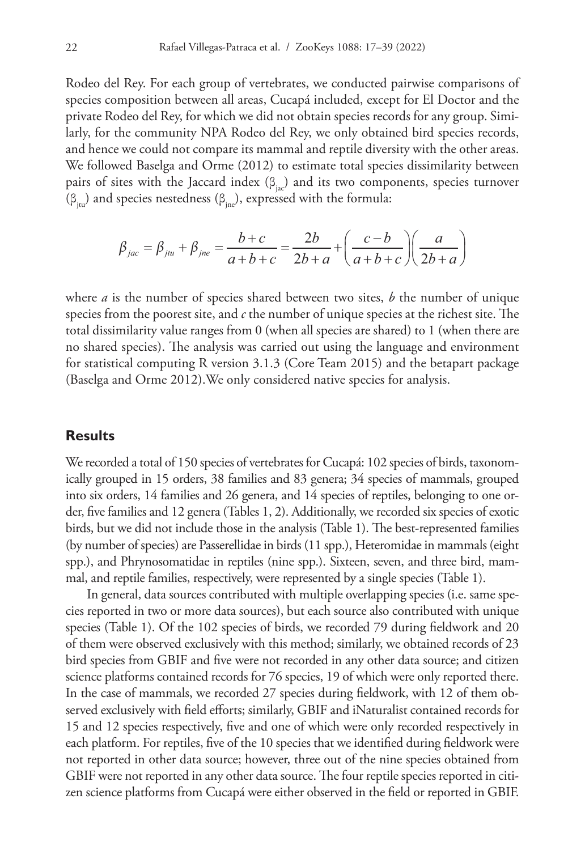Rodeo del Rey. For each group of vertebrates, we conducted pairwise comparisons of species composition between all areas, Cucapá included, except for El Doctor and the private Rodeo del Rey, for which we did not obtain species records for any group. Similarly, for the community NPA Rodeo del Rey, we only obtained bird species records, and hence we could not compare its mammal and reptile diversity with the other areas. We followed Baselga and Orme (2012) to estimate total species dissimilarity between pairs of sites with the Jaccard index  $(\beta_{ij})$  and its two components, species turnover (β<sub>itu</sub>) and species nestedness (β<sub>ine</sub>), expressed with the formula:

$$
\beta_{jac} = \beta_{jtu} + \beta_{jne} = \frac{b+c}{a+b+c} = \frac{2b}{2b+a} + \left(\frac{c-b}{a+b+c}\right)\left(\frac{a}{2b+a}\right)
$$

where *a* is the number of species shared between two sites, *b* the number of unique species from the poorest site, and *c* the number of unique species at the richest site. The total dissimilarity value ranges from 0 (when all species are shared) to 1 (when there are no shared species). The analysis was carried out using the language and environment for statistical computing R version 3.1.3 (Core Team 2015) and the betapart package (Baselga and Orme 2012).We only considered native species for analysis.

# **Results**

We recorded a total of 150 species of vertebrates for Cucapá: 102 species of birds, taxonomically grouped in 15 orders, 38 families and 83 genera; 34 species of mammals, grouped into six orders, 14 families and 26 genera, and 14 species of reptiles, belonging to one order, five families and 12 genera (Tables 1, 2). Additionally, we recorded six species of exotic birds, but we did not include those in the analysis (Table 1). The best-represented families (by number of species) are Passerellidae in birds (11 spp.), Heteromidae in mammals (eight spp.), and Phrynosomatidae in reptiles (nine spp.). Sixteen, seven, and three bird, mammal, and reptile families, respectively, were represented by a single species (Table 1).

In general, data sources contributed with multiple overlapping species (i.e. same species reported in two or more data sources), but each source also contributed with unique species (Table 1). Of the 102 species of birds, we recorded 79 during fieldwork and 20 of them were observed exclusively with this method; similarly, we obtained records of 23 bird species from GBIF and five were not recorded in any other data source; and citizen science platforms contained records for 76 species, 19 of which were only reported there. In the case of mammals, we recorded 27 species during fieldwork, with 12 of them observed exclusively with field efforts; similarly, GBIF and iNaturalist contained records for 15 and 12 species respectively, five and one of which were only recorded respectively in each platform. For reptiles, five of the 10 species that we identified during fieldwork were not reported in other data source; however, three out of the nine species obtained from GBIF were not reported in any other data source. The four reptile species reported in citizen science platforms from Cucapá were either observed in the field or reported in GBIF.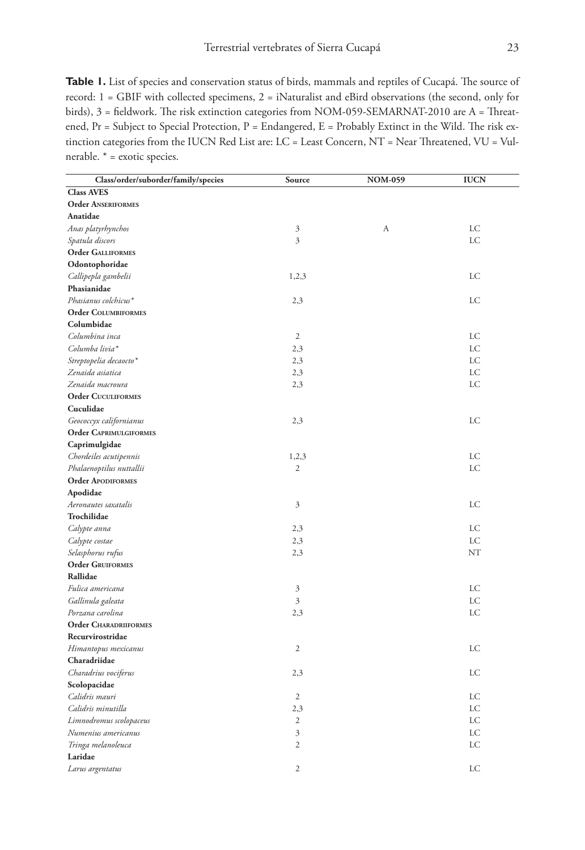Table 1. List of species and conservation status of birds, mammals and reptiles of Cucapá. The source of record: 1 = GBIF with collected specimens, 2 = iNaturalist and eBird observations (the second, only for birds), 3 = fieldwork. The risk extinction categories from NOM-059-SEMARNAT-2010 are A = Threatened, Pr = Subject to Special Protection, P = Endangered, E = Probably Extinct in the Wild. The risk extinction categories from the IUCN Red List are: LC = Least Concern, NT = Near Threatened, VU = Vulnerable. \* = exotic species.

| Class/order/suborder/family/species | Source         | <b>NOM-059</b> | <b>IUCN</b> |
|-------------------------------------|----------------|----------------|-------------|
| <b>Class AVES</b>                   |                |                |             |
| <b>Order ANSERIFORMES</b>           |                |                |             |
| Anatidae                            |                |                |             |
| Anas platyrhynchos                  | $\mathfrak{Z}$ | А              | LC          |
| Spatula discors                     | $\overline{3}$ |                | LC          |
| <b>Order GALLIFORMES</b>            |                |                |             |
| Odontophoridae                      |                |                |             |
|                                     | 1,2,3          |                | LC          |
| Callipepla gambelii<br>Phasianidae  |                |                |             |
| Phasianus colchicus*                |                |                | LC          |
| <b>Order COLUMBIFORMES</b>          | 2,3            |                |             |
| Columbidae                          |                |                |             |
|                                     |                |                |             |
| Columbina inca                      | $\mathfrak{2}$ |                | LC          |
| Columba livia*                      | 2,3            |                | LC          |
| Streptopelia decaocto*              | 2,3            |                | LC          |
| Zenaida asiatica                    | 2,3            |                | <b>LC</b>   |
| Zenaida macroura                    | 2,3            |                | LC          |
| <b>Order CUCULIFORMES</b>           |                |                |             |
| Cuculidae                           |                |                |             |
| Geococcyx californianus             | 2,3            |                | LC          |
| <b>Order CAPRIMULGIFORMES</b>       |                |                |             |
| Caprimulgidae                       |                |                |             |
| Chordeiles acutipennis              | 1,2,3          |                | LC          |
| Phalaenoptilus nuttallii            | $\mathfrak{2}$ |                | LC          |
| <b>Order APODIFORMES</b>            |                |                |             |
| Apodidae                            |                |                |             |
| Aeronautes saxatalis                | $\mathfrak{Z}$ |                | LC          |
| Trochilidae                         |                |                |             |
| Calypte anna                        | 2,3            |                | LC          |
| Calypte costae                      | 2,3            |                | LC          |
| Selasphorus rufus                   | 2,3            |                | NT          |
| <b>Order GRUIFORMES</b>             |                |                |             |
| Rallidae                            |                |                |             |
| Fulica americana                    | 3              |                | LC          |
| Gallinula galeata                   | 3              |                | <b>LC</b>   |
| Porzana carolina                    | 2,3            |                | LC          |
| <b>Order CHARADRIIFORMES</b>        |                |                |             |
| Recurvirostridae                    |                |                |             |
| Himantopus mexicanus                | $\mathfrak{2}$ |                | LC          |
| Charadriidae                        |                |                |             |
| Charadrius vociferus                | 2,3            |                | LC          |
| Scolopacidae                        |                |                |             |
| Calidris mauri                      | $\mathfrak{2}$ |                | LC          |
| Calidris minutilla                  | 2,3            |                | LC          |
| Limnodromus scolopaceus             | $\sqrt{2}$     |                | LC          |
| Numenius americanus                 | $\mathfrak{Z}$ |                | LC          |
| Tringa melanoleuca                  | $\sqrt{2}$     |                | LC          |
| Laridae                             |                |                |             |
| Larus argentatus                    | $\overline{2}$ |                | LC          |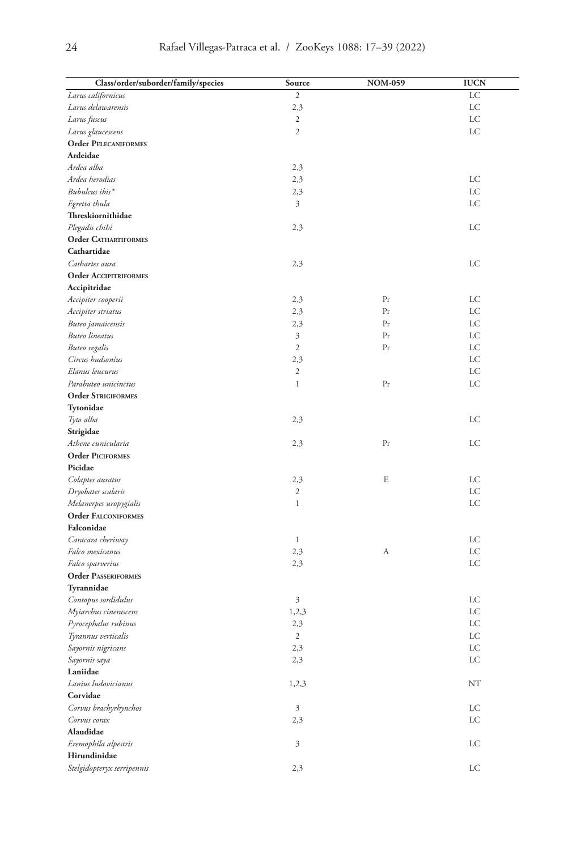| Class/order/suborder/family/species | Source              | <b>NOM-059</b> | <b>IUCN</b> |
|-------------------------------------|---------------------|----------------|-------------|
| Larus californicus                  | $\overline{c}$      |                | LC          |
| Larus delawarensis                  | 2,3                 |                | LC          |
| Larus fuscus                        | $\mathfrak{2}$      |                | LC          |
| Larus glaucescens                   | $\overline{c}$      |                | LC          |
| <b>Order PELECANIFORMES</b>         |                     |                |             |
| Ardeidae                            |                     |                |             |
| Ardea alba                          | 2,3                 |                |             |
| Ardea herodias                      | 2,3                 |                | LC          |
| Bubulcus ibis*                      | 2,3                 |                | LC          |
| Egretta thula                       | 3                   |                | LC          |
| Threskiornithidae                   |                     |                |             |
| Plegadis chihi                      | 2,3                 |                | LC          |
| <b>Order CATHARTIFORMES</b>         |                     |                |             |
| Cathartidae                         |                     |                |             |
| Cathartes aura                      | 2,3                 |                | LC          |
| <b>Order ACCIPITRIFORMES</b>        |                     |                |             |
| Accipitridae                        |                     |                |             |
|                                     | 2,3                 | Pr             | LC          |
| Accipiter cooperii                  |                     | Pr             | LC          |
| Accipiter striatus                  | 2,3                 | Pr             | LC          |
| Buteo jamaicensis                   | 2,3                 | Pr             | LC          |
| <b>Buteo</b> lineatus               | 3<br>$\mathfrak{2}$ |                |             |
| Buteo regalis                       |                     | Pr             | LC          |
| Circus hudsonius                    | 2,3                 |                | LC          |
| Elanus leucurus                     | $\mathfrak{2}$      |                | LC          |
| Parabuteo unicinctus                | $\mathbf{1}$        | Pr             | LC          |
| <b>Order STRIGIFORMES</b>           |                     |                |             |
| Tytonidae                           |                     |                |             |
| Tyto alba                           | 2,3                 |                | LC          |
| Strigidae                           |                     |                |             |
| Athene cunicularia                  | 2,3                 | Pr             | LC          |
| <b>Order PICIFORMES</b>             |                     |                |             |
| Picidae                             |                     |                |             |
| Colaptes auratus                    | 2,3                 | E              | LC          |
| Dryobates scalaris                  | 2                   |                | LC          |
| Melanerpes uropygialis              | $\mathbf{1}$        |                | LC          |
| <b>Order FALCONIFORMES</b>          |                     |                |             |
| Falconidae                          |                     |                |             |
| Caracara cheriway                   | $\mathbf{1}$        |                | LC          |
| Falco mexicanus                     | 2,3                 | А              | LC          |
| Falco sparverius                    | 2,3                 |                | LC          |
| <b>Order PASSERIFORMES</b>          |                     |                |             |
| Tyrannidae                          |                     |                |             |
| Contopus sordidulus                 | 3                   |                | LC          |
| Myiarchus cinerascens               | 1,2,3               |                | LC          |
| Pyrocephalus rubinus                | 2,3                 |                | LC          |
| Tyrannus verticalis                 | 2                   |                | LC          |
| Sayornis nigricans                  | 2,3                 |                | LC          |
| Sayornis saya                       | 2,3                 |                | LC          |
| Laniidae                            |                     |                |             |
| Lanius ludovicianus                 | 1,2,3               |                | NT          |
| Corvidae                            |                     |                |             |
| Corvus brachyrhynchos               | 3                   |                | LC          |
| Corvus corax                        | 2,3                 |                | LC          |
| Alaudidae                           |                     |                |             |
| Eremophila alpestris                | 3                   |                | LC          |
| Hirundinidae                        |                     |                |             |
| Stelgidopteryx serripennis          | 2,3                 |                | LC          |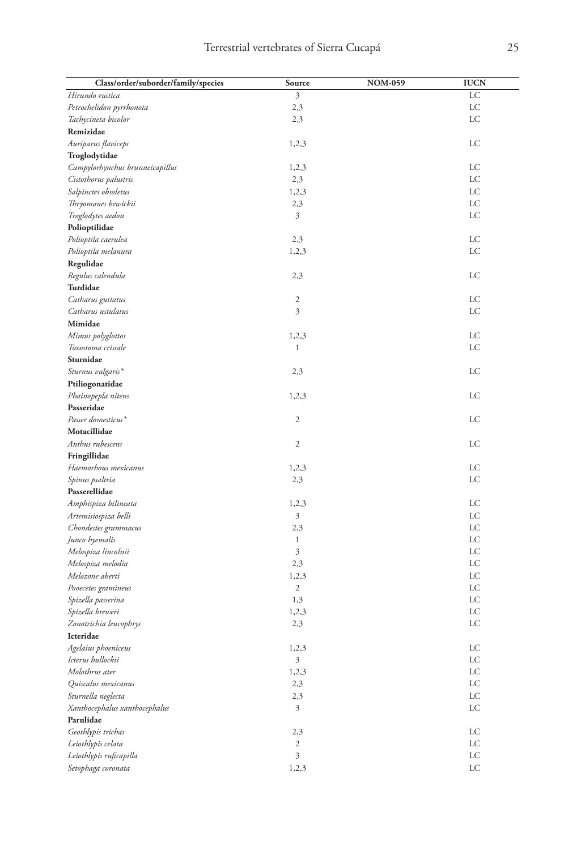| Class/order/suborder/family/species | Source         | <b>NOM-059</b> | <b>IUCN</b> |
|-------------------------------------|----------------|----------------|-------------|
| Hirundo rustica                     | 3              |                | LC          |
| Petrochelidon pyrrhonota            | 2,3            |                | LC          |
| Tachycineta bicolor                 | 2,3            |                | LC          |
| Remizidae                           |                |                |             |
| Auriparus flaviceps                 | 1,2,3          |                | LC          |
| Troglodytidae                       |                |                |             |
| Campylorhynchus brunneicapillus     | 1,2,3          |                | LC          |
| Cistothorus palustris               | 2,3            |                | LC          |
| Salpinctes obsoletus                | 1,2,3          |                | LC          |
| Thryomanes bewickii                 | 2,3            |                | LC          |
| Troglodytes aedon                   | 3              |                | LC          |
| Polioptilidae                       |                |                |             |
| Polioptila caerulea                 | 2,3            |                | LC          |
| Polioptila melanura                 | 1,2,3          |                | LC          |
| Regulidae                           |                |                |             |
| Regulus calendula                   | 2,3            |                | LC          |
| Turdidae                            |                |                |             |
| Catharus guttatus                   | $\mathfrak{2}$ |                | LC          |
| Catharus ustulatus                  | 3              |                | LC          |
| Mimidae                             |                |                |             |
| Mimus polyglottos                   | 1,2,3          |                | LC          |
| Toxostoma crissale                  | $\mathbf{1}$   |                | LC          |
| Sturnidae                           |                |                |             |
| Sturnus vulgaris*                   | 2,3            |                | LC          |
| Ptiliogonatidae                     |                |                |             |
| Phainopepla nitens                  | 1,2,3          |                | LC          |
| Passeridae                          |                |                |             |
| Passer domesticus*                  | $\mathfrak{2}$ |                | LC          |
| Motacillidae                        |                |                |             |
| Anthus rubescens                    | $\mathfrak{2}$ |                | LC          |
| Fringillidae                        |                |                |             |
| Haemorhous mexicanus                | 1,2,3          |                | LC          |
| Spinus psaltria                     | 2,3            |                | LC          |
| Passerellidae                       |                |                |             |
| Amphispiza bilineata                | 1,2,3          |                | LC          |
| Artemisiospiza belli                | 3              |                | LC          |
| Chondestes grammacus                | 2,3            |                | LC          |
| Junco hyemalis                      | $\mathbf{1}$   |                | LC          |
| Melospiza lincolnii                 | 3              |                | LC          |
| Melospiza melodia                   | 2,3            |                | LC          |
| Melozone aberti                     | 1,2,3          |                | LC          |
| Pooecetes gramineus                 | $\mathbf{2}$   |                | LC          |
| Spizella passerina                  | 1,3            |                | LC          |
| Spizella breweri                    | 1,2,3          |                | LC          |
| Zonotrichia leucophrys              | 2,3            |                | LC          |
| Icteridae                           |                |                |             |
| Agelaius phoeniceus                 | 1,2,3          |                | LC          |
| Icterus bullockii                   | 3              |                | LC          |
| Molothrus ater                      | 1,2,3          |                | LC          |
| Quiscalus mexicanus                 | 2,3            |                | LC          |
| Sturnella neglecta                  | 2,3            |                | LC          |
| Xanthocephalus xanthocephalus       | 3              |                | LC          |
| Parulidae                           |                |                |             |
| Geothlypis trichas                  | 2,3            |                | LC          |
| Leiothlypis celata                  | $\sqrt{2}$     |                | LC          |
| Leiothlypis ruficapilla             | 3              |                | LC          |
| Setophaga coronata                  | 1,2,3          |                | LC          |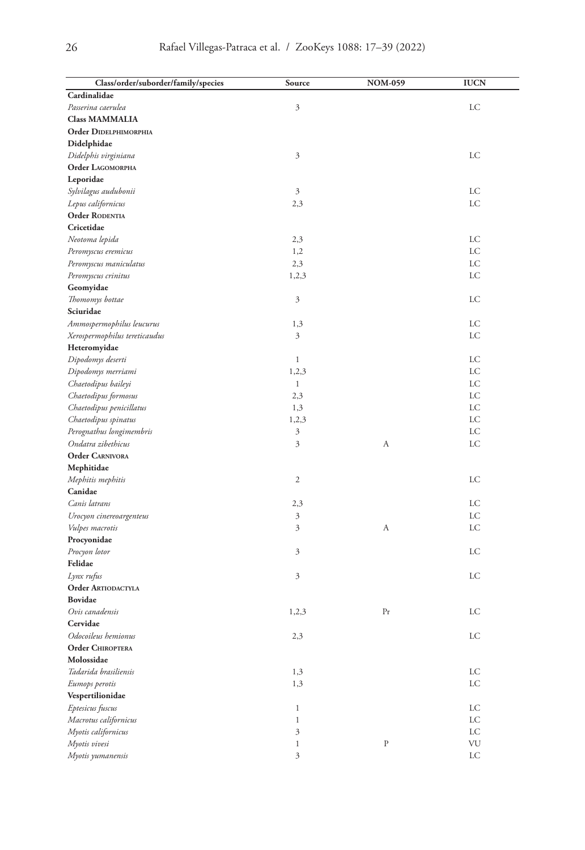| Class/order/suborder/family/species | Source       | <b>NOM-059</b> | <b>IUCN</b> |
|-------------------------------------|--------------|----------------|-------------|
| Cardinalidae                        |              |                |             |
| Passerina caerulea                  | 3            |                | LC          |
| <b>Class MAMMALIA</b>               |              |                |             |
| Order DIDELPHIMORPHIA               |              |                |             |
| Didelphidae                         |              |                |             |
| Didelphis virginiana                | 3            |                | LC          |
| Order LAGOMORPHA                    |              |                |             |
| Leporidae                           |              |                |             |
| Sylvilagus audubonii                | 3            |                | LC          |
| Lepus californicus                  | 2,3          |                | LC          |
| Order RODENTIA                      |              |                |             |
| Cricetidae                          |              |                |             |
| Neotoma lepida                      | 2,3          |                | LC          |
| Peromyscus eremicus                 | 1,2          |                | LC          |
| Peromyscus maniculatus              | 2,3          |                | LC          |
| Peromyscus crinitus                 | 1,2,3        |                | LC          |
| Geomyidae                           |              |                |             |
| Thomomys bottae                     | 3            |                | LC          |
| Sciuridae                           |              |                |             |
| Ammospermophilus leucurus           | 1,3          |                | LC          |
| Xerospermophilus tereticaudus       | 3            |                | LC          |
| Heteromyidae                        |              |                |             |
| Dipodomys deserti                   | $\mathbf{1}$ |                | LC          |
| Dipodomys merriami                  | 1,2,3        |                | LC          |
| Chaetodipus baileyi                 | $\mathbf{1}$ |                | LC          |
| Chaetodipus formosus                | 2,3          |                | LC          |
| Chaetodipus penicillatus            | 1,3          |                | LC          |
| Chaetodipus spinatus                | 1,2,3        |                | LC          |
| Perognathus longimembris            | 3            |                | LC          |
| Ondatra zibethicus                  | 3            | А              | LC          |
| <b>Order CARNIVORA</b>              |              |                |             |
| Mephitidae                          |              |                |             |
| Mephitis mephitis                   | 2            |                | LC          |
| Canidae                             |              |                |             |
| Canis latrans                       | 2,3          |                | LC          |
| Urocyon cinereoargenteus            | 3            |                | LC          |
| Vulpes macrotis                     | 3            | А              | LC          |
| Procyonidae                         |              |                |             |
| Procyon lotor                       | 3            |                | LC          |
| Felidae                             |              |                |             |
| Lynx rufus                          | 3            |                | LC          |
| <b>Order ARTIODACTYLA</b>           |              |                |             |
| <b>Bovidae</b>                      |              |                |             |
| Ovis canadensis                     | 1,2,3        | Pr             | LC          |
| Cervidae                            |              |                |             |
| Odocoileus hemionus                 | 2,3          |                | LC          |
| Order CHIROPTERA                    |              |                |             |
| Molossidae                          |              |                |             |
| Tadarida brasiliensis               | 1,3          |                | LC          |
| Eumops perotis                      | 1,3          |                | LC          |
| Vespertilionidae                    |              |                |             |
| Eptesicus fuscus                    | $\mathbf{1}$ |                | LC          |
| Macrotus californicus               | $\mathbf{1}$ |                | LC          |
| Myotis californicus                 | 3            |                | LC          |
| Myotis vivesi                       | $\mathbf{1}$ | ${\bf P}$      | VU          |
| Myotis yumanensis                   | 3            |                | ${\rm LC}$  |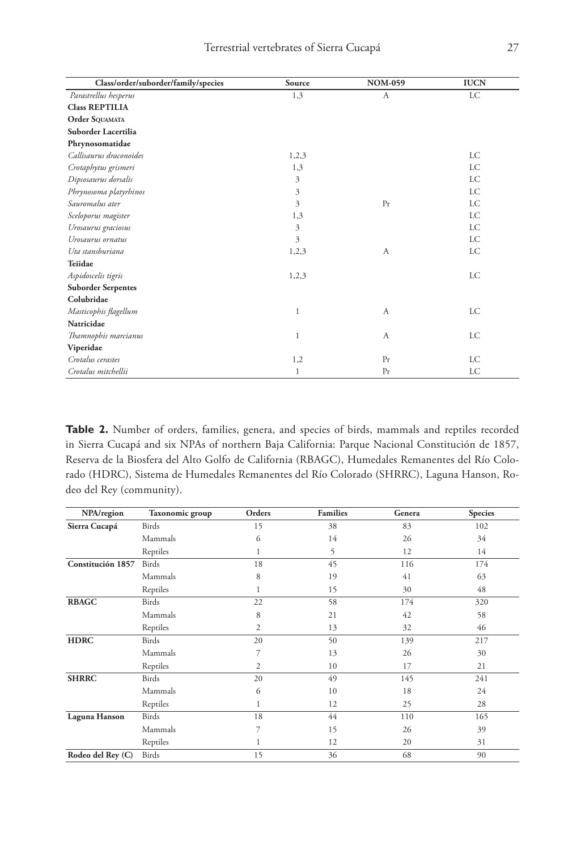| Class/order/suborder/family/species | Source                  | <b>NOM-059</b> | <b>IUCN</b> |
|-------------------------------------|-------------------------|----------------|-------------|
| Parastrellus hesperus               | 1,3                     | A              | <b>LC</b>   |
| <b>Class REPTILIA</b>               |                         |                |             |
| Order SQUAMATA                      |                         |                |             |
| Suborder Lacertilia                 |                         |                |             |
| Phrynosomatidae                     |                         |                |             |
| Callisaurus draconoides             | 1,2,3                   |                | LC          |
| Crotaphytus grismeri                | 1,3                     |                | LC          |
| Dipsosaurus dorsalis                | 3                       |                | LC          |
| Phrynosoma platyrhinos              | 3                       |                | LC          |
| Sauromalus ater                     | 3                       | Pr             | LC          |
| Sceloporus magister                 | 1,3                     |                | <b>LC</b>   |
| Urosaurus graciosus                 | 3                       |                | <b>LC</b>   |
| Urosaurus ornatus                   | $\overline{\mathbf{3}}$ |                | <b>LC</b>   |
| Uta stansburiana                    | 1,2,3                   | A              | LC          |
| Teiidae                             |                         |                |             |
| Aspidoscelis tigris                 | 1,2,3                   |                | LC          |
| <b>Suborder Serpentes</b>           |                         |                |             |
| Colubridae                          |                         |                |             |
| Masticophis flagellum               | 1                       | A              | LC          |
| Natricidae                          |                         |                |             |
| Thamnophis marcianus                | 1                       | А              | LC          |
| Viperidae                           |                         |                |             |
| Crotalus cerastes                   | 1,2                     | Pr             | LC          |
| Crotalus mitchellii                 | $\mathbf{1}$            | Pr             | LC          |

**Table 2.** Number of orders, families, genera, and species of birds, mammals and reptiles recorded in Sierra Cucapá and six NPAs of northern Baja California: Parque Nacional Constitución de 1857, Reserva de la Biosfera del Alto Golfo de California (RBAGC), Humedales Remanentes del Río Colorado (HDRC), Sistema de Humedales Remanentes del Río Colorado (SHRRC), Laguna Hanson, Rodeo del Rey (community).

| NPA/region        | Taxonomic group | Orders | <b>Families</b> | Genera | <b>Species</b> |
|-------------------|-----------------|--------|-----------------|--------|----------------|
| Sierra Cucapá     | <b>Birds</b>    | 15     | 38              | 83     | 102            |
|                   | Mammals         | 6      | 14              | 26     | 34             |
|                   | Reptiles        |        | 5               | 12     | 14             |
| Constitución 1857 | <b>Birds</b>    | 18     | 45              | 116    | 174            |
|                   | Mammals         | 8      | 19              | 41     | 63             |
|                   | Reptiles        | 1      | 15              | 30     | 48             |
| <b>RBAGC</b>      | <b>Birds</b>    | 22     | 58              | 174    | 320            |
|                   | Mammals         | 8      | 21              | 42     | 58             |
|                   | Reptiles        | 2      | 13              | 32     | 46             |
| <b>HDRC</b>       | <b>Birds</b>    | 20     | 50              | 139    | 217            |
|                   | Mammals         | 7      | 13              | 26     | 30             |
|                   | Reptiles        | 2      | 10              | 17     | 21             |
| <b>SHRRC</b>      | <b>Birds</b>    | 20     | 49              | 145    | 241            |
|                   | Mammals         | 6      | 10              | 18     | 24             |
|                   | Reptiles        | 1      | 12              | 25     | 28             |
| Laguna Hanson     | <b>Birds</b>    | 18     | 44              | 110    | 165            |
|                   | Mammals         | 7      | 15              | 26     | 39             |
|                   | Reptiles        |        | 12              | 20     | 31             |
| Rodeo del Rey (C) | Birds           | 15     | 36              | 68     | 90             |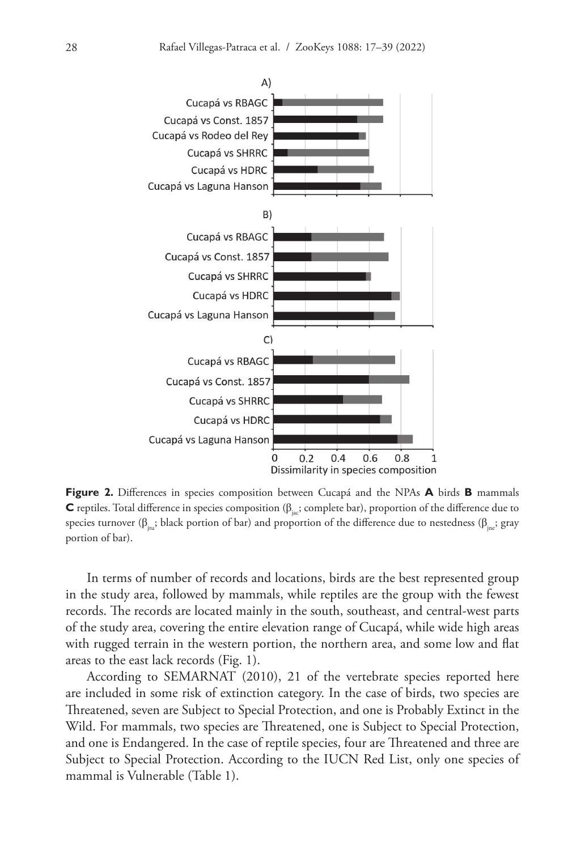

**Figure 2.** Differences in species composition between Cucapá and the NPAs **A** birds **B** mammals **C** reptiles. Total difference in species composition (β<sub>iac</sub>; complete bar), proportion of the difference due to species turnover ( $\beta_{i_m}$ ; black portion of bar) and proportion of the difference due to nestedness ( $\beta_{i_m}$ ; gray portion of bar).

In terms of number of records and locations, birds are the best represented group in the study area, followed by mammals, while reptiles are the group with the fewest records. The records are located mainly in the south, southeast, and central-west parts of the study area, covering the entire elevation range of Cucapá, while wide high areas with rugged terrain in the western portion, the northern area, and some low and flat areas to the east lack records (Fig. 1).

According to SEMARNAT (2010), 21 of the vertebrate species reported here are included in some risk of extinction category. In the case of birds, two species are Threatened, seven are Subject to Special Protection, and one is Probably Extinct in the Wild. For mammals, two species are Threatened, one is Subject to Special Protection, and one is Endangered. In the case of reptile species, four are Threatened and three are Subject to Special Protection. According to the IUCN Red List, only one species of mammal is Vulnerable (Table 1).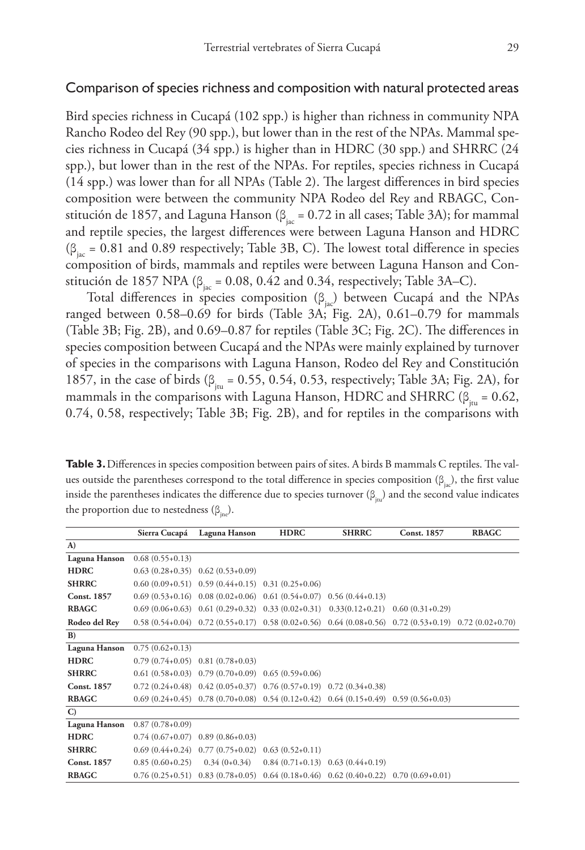# Comparison of species richness and composition with natural protected areas

Bird species richness in Cucapá (102 spp.) is higher than richness in community NPA Rancho Rodeo del Rey (90 spp.), but lower than in the rest of the NPAs. Mammal species richness in Cucapá (34 spp.) is higher than in HDRC (30 spp.) and SHRRC (24 spp.), but lower than in the rest of the NPAs. For reptiles, species richness in Cucapá (14 spp.) was lower than for all NPAs (Table 2). The largest differences in bird species composition were between the community NPA Rodeo del Rey and RBAGC, Constitución de 1857, and Laguna Hanson ( $\beta_{\text{inc}} = 0.72$  in all cases; Table 3A); for mammal and reptile species, the largest differences were between Laguna Hanson and HDRC  $(\beta_{\text{inc}} = 0.81 \text{ and } 0.89 \text{ respectively};$  Table 3B, C). The lowest total difference in species composition of birds, mammals and reptiles were between Laguna Hanson and Constitución de 1857 NPA ( $\beta_{\text{inc}}$  = 0.08, 0.42 and 0.34, respectively; Table 3A–C).

Total differences in species composition  $(\beta_{i\alpha})$  between Cucapá and the NPAs ranged between 0.58–0.69 for birds (Table 3A; Fig. 2A), 0.61–0.79 for mammals (Table 3B; Fig. 2B), and 0.69–0.87 for reptiles (Table 3C; Fig. 2C). The differences in species composition between Cucapá and the NPAs were mainly explained by turnover of species in the comparisons with Laguna Hanson, Rodeo del Rey and Constitución 1857, in the case of birds ( $\beta_{\text{in}} = 0.55$ , 0.54, 0.53, respectively; Table 3A; Fig. 2A), for mammals in the comparisons with Laguna Hanson, HDRC and SHRRC ( $\beta_{\text{in}} = 0.62$ , 0.74, 0.58, respectively; Table 3B; Fig. 2B), and for reptiles in the comparisons with

**Table 3.** Differences in species composition between pairs of sites. A birds B mammals C reptiles. The values outside the parentheses correspond to the total difference in species composition ( $\beta_{i\alpha}$ ), the first value inside the parentheses indicates the difference due to species turnover  $(\beta_{\text{in}})$  and the second value indicates the proportion due to nestedness  $(\beta_{\text{ine}})$ .

|                    | Sierra Cucapá     | Laguna Hanson                                                                             | <b>HDRC</b>                         | <b>SHRRC</b> | <b>Const. 1857</b>                                                                                          | <b>RBAGC</b> |
|--------------------|-------------------|-------------------------------------------------------------------------------------------|-------------------------------------|--------------|-------------------------------------------------------------------------------------------------------------|--------------|
| $\bf{A}$           |                   |                                                                                           |                                     |              |                                                                                                             |              |
| Laguna Hanson      | $0.68(0.55+0.13)$ |                                                                                           |                                     |              |                                                                                                             |              |
| <b>HDRC</b>        |                   | $0.63(0.28+0.35)$ $0.62(0.53+0.09)$                                                       |                                     |              |                                                                                                             |              |
| <b>SHRRC</b>       |                   | $0.60(0.09+0.51)$ $0.59(0.44+0.15)$ $0.31(0.25+0.06)$                                     |                                     |              |                                                                                                             |              |
| <b>Const. 1857</b> |                   | $0.69(0.53+0.16)$ $0.08(0.02+0.06)$ $0.61(0.54+0.07)$ $0.56(0.44+0.13)$                   |                                     |              |                                                                                                             |              |
| <b>RBAGC</b>       |                   | $0.69(0.06+0.63)$ $0.61(0.29+0.32)$ $0.33(0.02+0.31)$ $0.33(0.12+0.21)$ $0.60(0.31+0.29)$ |                                     |              |                                                                                                             |              |
| Rodeo del Rev      |                   |                                                                                           |                                     |              | $0.58(0.54+0.04)$ $0.72(0.55+0.17)$ $0.58(0.02+0.56)$ $0.64(0.08+0.56)$ $0.72(0.53+0.19)$ $0.72(0.02+0.70)$ |              |
| B)                 |                   |                                                                                           |                                     |              |                                                                                                             |              |
| Laguna Hanson      | $0.75(0.62+0.13)$ |                                                                                           |                                     |              |                                                                                                             |              |
| <b>HDRC</b>        |                   | $0.79(0.74+0.05)$ $0.81(0.78+0.03)$                                                       |                                     |              |                                                                                                             |              |
| <b>SHRRC</b>       |                   | $0.61(0.58+0.03)$ $0.79(0.70+0.09)$ $0.65(0.59+0.06)$                                     |                                     |              |                                                                                                             |              |
| <b>Const. 1857</b> |                   | $0.72$ $(0.24+0.48)$ $0.42$ $(0.05+0.37)$ $0.76$ $(0.57+0.19)$ $0.72$ $(0.34+0.38)$       |                                     |              |                                                                                                             |              |
| <b>RBAGC</b>       |                   | $0.69(0.24+0.45)$ $0.78(0.70+0.08)$ $0.54(0.12+0.42)$ $0.64(0.15+0.49)$ $0.59(0.56+0.03)$ |                                     |              |                                                                                                             |              |
| $\mathbf{C}$       |                   |                                                                                           |                                     |              |                                                                                                             |              |
| Laguna Hanson      | $0.87(0.78+0.09)$ |                                                                                           |                                     |              |                                                                                                             |              |
| <b>HDRC</b>        |                   | $0.74(0.67+0.07)$ 0.89 $(0.86+0.03)$                                                      |                                     |              |                                                                                                             |              |
| <b>SHRRC</b>       |                   | $0.69(0.44+0.24)$ $0.77(0.75+0.02)$ $0.63(0.52+0.11)$                                     |                                     |              |                                                                                                             |              |
| <b>Const. 1857</b> | $0.85(0.60+0.25)$ | $0.34(0+0.34)$                                                                            | $0.84(0.71+0.13)$ $0.63(0.44+0.19)$ |              |                                                                                                             |              |
| <b>RBAGC</b>       |                   | $0.76(0.25+0.51)$ $0.83(0.78+0.05)$ $0.64(0.18+0.46)$ $0.62(0.40+0.22)$ $0.70(0.69+0.01)$ |                                     |              |                                                                                                             |              |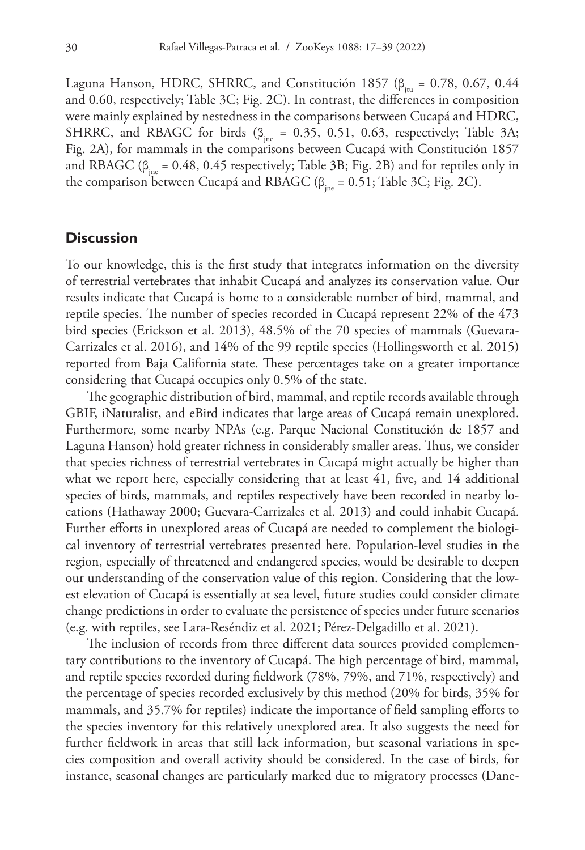Laguna Hanson, HDRC, SHRRC, and Constitución 1857 ( $\beta_{\text{im}} = 0.78, 0.67, 0.44$ and 0.60, respectively; Table 3C; Fig. 2C). In contrast, the differences in composition were mainly explained by nestedness in the comparisons between Cucapá and HDRC, SHRRC, and RBAGC for birds ( $\beta_{\text{ine}} = 0.35$ , 0.51, 0.63, respectively; Table 3A; Fig. 2A), for mammals in the comparisons between Cucapá with Constitución 1857 and RBAGC ( $\beta_{\text{inc}} = 0.48, 0.45$  respectively; Table 3B; Fig. 2B) and for reptiles only in the comparison between Cucapá and RBAGC ( $β_{\text{ine}} = 0.51$ ; Table 3C; Fig. 2C).

# **Discussion**

To our knowledge, this is the first study that integrates information on the diversity of terrestrial vertebrates that inhabit Cucapá and analyzes its conservation value. Our results indicate that Cucapá is home to a considerable number of bird, mammal, and reptile species. The number of species recorded in Cucapá represent 22% of the 473 bird species (Erickson et al. 2013), 48.5% of the 70 species of mammals (Guevara-Carrizales et al. 2016), and 14% of the 99 reptile species (Hollingsworth et al. 2015) reported from Baja California state. These percentages take on a greater importance considering that Cucapá occupies only 0.5% of the state.

The geographic distribution of bird, mammal, and reptile records available through GBIF, iNaturalist, and eBird indicates that large areas of Cucapá remain unexplored. Furthermore, some nearby NPAs (e.g. Parque Nacional Constitución de 1857 and Laguna Hanson) hold greater richness in considerably smaller areas. Thus, we consider that species richness of terrestrial vertebrates in Cucapá might actually be higher than what we report here, especially considering that at least 41, five, and 14 additional species of birds, mammals, and reptiles respectively have been recorded in nearby locations (Hathaway 2000; Guevara-Carrizales et al. 2013) and could inhabit Cucapá. Further efforts in unexplored areas of Cucapá are needed to complement the biological inventory of terrestrial vertebrates presented here. Population-level studies in the region, especially of threatened and endangered species, would be desirable to deepen our understanding of the conservation value of this region. Considering that the lowest elevation of Cucapá is essentially at sea level, future studies could consider climate change predictions in order to evaluate the persistence of species under future scenarios (e.g. with reptiles, see Lara-Reséndiz et al. 2021; Pérez-Delgadillo et al. 2021).

The inclusion of records from three different data sources provided complementary contributions to the inventory of Cucapá. The high percentage of bird, mammal, and reptile species recorded during fieldwork (78%, 79%, and 71%, respectively) and the percentage of species recorded exclusively by this method (20% for birds, 35% for mammals, and 35.7% for reptiles) indicate the importance of field sampling efforts to the species inventory for this relatively unexplored area. It also suggests the need for further fieldwork in areas that still lack information, but seasonal variations in species composition and overall activity should be considered. In the case of birds, for instance, seasonal changes are particularly marked due to migratory processes (Dane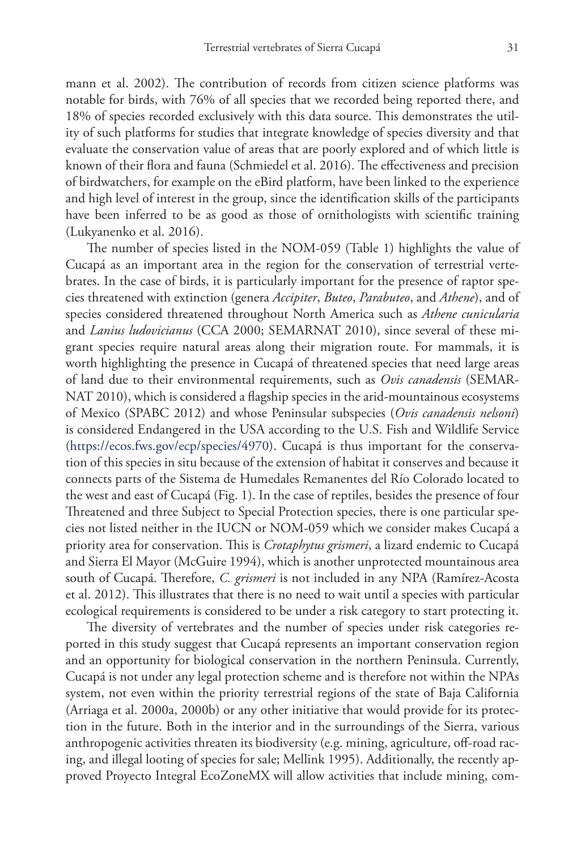mann et al. 2002). The contribution of records from citizen science platforms was notable for birds, with 76% of all species that we recorded being reported there, and 18% of species recorded exclusively with this data source. This demonstrates the utility of such platforms for studies that integrate knowledge of species diversity and that evaluate the conservation value of areas that are poorly explored and of which little is known of their flora and fauna (Schmiedel et al. 2016). The effectiveness and precision of birdwatchers, for example on the eBird platform, have been linked to the experience and high level of interest in the group, since the identification skills of the participants have been inferred to be as good as those of ornithologists with scientific training (Lukyanenko et al. 2016).

The number of species listed in the NOM-059 (Table 1) highlights the value of Cucapá as an important area in the region for the conservation of terrestrial vertebrates. In the case of birds, it is particularly important for the presence of raptor species threatened with extinction (genera *Accipiter*, *Buteo*, *Parabuteo*, and *Athene*), and of species considered threatened throughout North America such as *Athene cunicularia* and *Lanius ludovicianus* (CCA 2000; SEMARNAT 2010), since several of these migrant species require natural areas along their migration route. For mammals, it is worth highlighting the presence in Cucapá of threatened species that need large areas of land due to their environmental requirements, such as *Ovis canadensis* (SEMAR-NAT 2010), which is considered a flagship species in the arid-mountainous ecosystems of Mexico (SPABC 2012) and whose Peninsular subspecies (*Ovis canadensis nelsoni*) is considered Endangered in the USA according to the U.S. Fish and Wildlife Service (<https://ecos.fws.gov/ecp/species/4970>). Cucapá is thus important for the conservation of this species in situ because of the extension of habitat it conserves and because it connects parts of the Sistema de Humedales Remanentes del Río Colorado located to the west and east of Cucapá (Fig. 1). In the case of reptiles, besides the presence of four Threatened and three Subject to Special Protection species, there is one particular species not listed neither in the IUCN or NOM-059 which we consider makes Cucapá a priority area for conservation. This is *Crotaphytus grismeri*, a lizard endemic to Cucapá and Sierra El Mayor (McGuire 1994), which is another unprotected mountainous area south of Cucapá. Therefore, *C. grismeri* is not included in any NPA (Ramírez-Acosta et al. 2012). This illustrates that there is no need to wait until a species with particular ecological requirements is considered to be under a risk category to start protecting it.

The diversity of vertebrates and the number of species under risk categories reported in this study suggest that Cucapá represents an important conservation region and an opportunity for biological conservation in the northern Peninsula. Currently, Cucapá is not under any legal protection scheme and is therefore not within the NPAs system, not even within the priority terrestrial regions of the state of Baja California (Arriaga et al. 2000a, 2000b) or any other initiative that would provide for its protection in the future. Both in the interior and in the surroundings of the Sierra, various anthropogenic activities threaten its biodiversity (e.g. mining, agriculture, off-road racing, and illegal looting of species for sale; Mellink 1995). Additionally, the recently approved Proyecto Integral EcoZoneMX will allow activities that include mining, com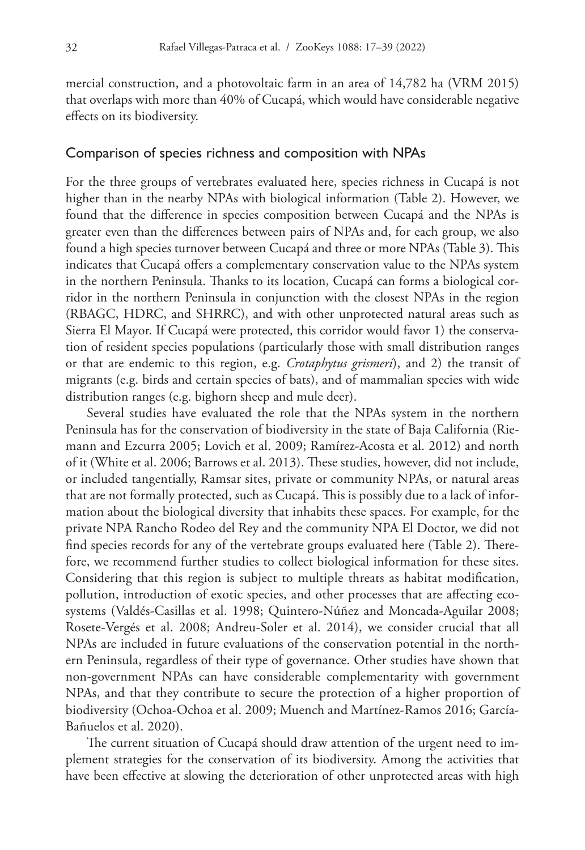mercial construction, and a photovoltaic farm in an area of 14,782 ha (VRM 2015) that overlaps with more than 40% of Cucapá, which would have considerable negative effects on its biodiversity.

# Comparison of species richness and composition with NPAs

For the three groups of vertebrates evaluated here, species richness in Cucapá is not higher than in the nearby NPAs with biological information (Table 2). However, we found that the difference in species composition between Cucapá and the NPAs is greater even than the differences between pairs of NPAs and, for each group, we also found a high species turnover between Cucapá and three or more NPAs (Table 3). This indicates that Cucapá offers a complementary conservation value to the NPAs system in the northern Peninsula. Thanks to its location, Cucapá can forms a biological corridor in the northern Peninsula in conjunction with the closest NPAs in the region (RBAGC, HDRC, and SHRRC), and with other unprotected natural areas such as Sierra El Mayor. If Cucapá were protected, this corridor would favor 1) the conservation of resident species populations (particularly those with small distribution ranges or that are endemic to this region, e.g. *Crotaphytus grismeri*), and 2) the transit of migrants (e.g. birds and certain species of bats), and of mammalian species with wide distribution ranges (e.g. bighorn sheep and mule deer).

Several studies have evaluated the role that the NPAs system in the northern Peninsula has for the conservation of biodiversity in the state of Baja California (Riemann and Ezcurra 2005; Lovich et al. 2009; Ramírez-Acosta et al. 2012) and north of it (White et al. 2006; Barrows et al. 2013). These studies, however, did not include, or included tangentially, Ramsar sites, private or community NPAs, or natural areas that are not formally protected, such as Cucapá. This is possibly due to a lack of information about the biological diversity that inhabits these spaces. For example, for the private NPA Rancho Rodeo del Rey and the community NPA El Doctor, we did not find species records for any of the vertebrate groups evaluated here (Table 2). Therefore, we recommend further studies to collect biological information for these sites. Considering that this region is subject to multiple threats as habitat modification, pollution, introduction of exotic species, and other processes that are affecting ecosystems (Valdés-Casillas et al. 1998; Quintero-Núñez and Moncada-Aguilar 2008; Rosete-Vergés et al. 2008; Andreu-Soler et al. 2014), we consider crucial that all NPAs are included in future evaluations of the conservation potential in the northern Peninsula, regardless of their type of governance. Other studies have shown that non-government NPAs can have considerable complementarity with government NPAs, and that they contribute to secure the protection of a higher proportion of biodiversity (Ochoa-Ochoa et al. 2009; Muench and Martínez-Ramos 2016; García-Bañuelos et al. 2020).

The current situation of Cucapá should draw attention of the urgent need to implement strategies for the conservation of its biodiversity. Among the activities that have been effective at slowing the deterioration of other unprotected areas with high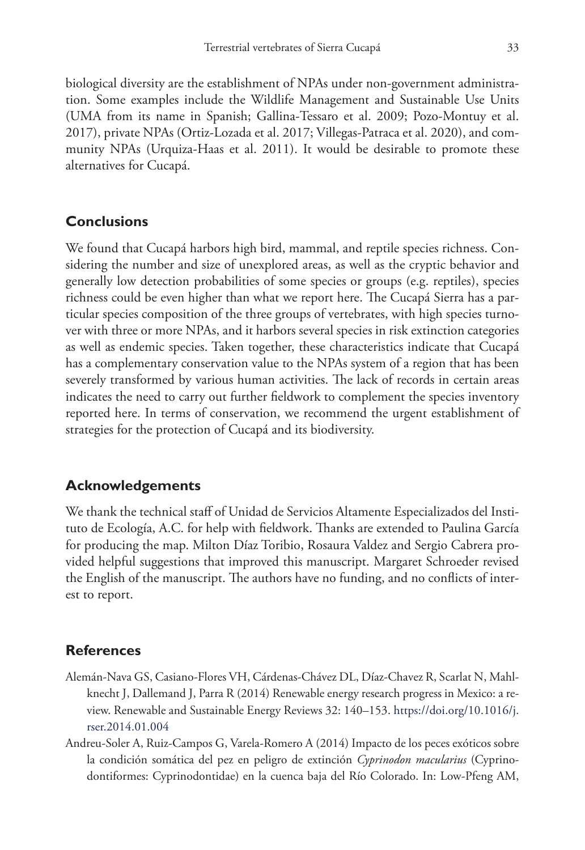biological diversity are the establishment of NPAs under non-government administration. Some examples include the Wildlife Management and Sustainable Use Units (UMA from its name in Spanish; Gallina-Tessaro et al. 2009; Pozo-Montuy et al. 2017), private NPAs (Ortiz-Lozada et al. 2017; Villegas-Patraca et al. 2020), and community NPAs (Urquiza-Haas et al. 2011). It would be desirable to promote these alternatives for Cucapá.

# **Conclusions**

We found that Cucapá harbors high bird, mammal, and reptile species richness. Considering the number and size of unexplored areas, as well as the cryptic behavior and generally low detection probabilities of some species or groups (e.g. reptiles), species richness could be even higher than what we report here. The Cucapá Sierra has a particular species composition of the three groups of vertebrates, with high species turnover with three or more NPAs, and it harbors several species in risk extinction categories as well as endemic species. Taken together, these characteristics indicate that Cucapá has a complementary conservation value to the NPAs system of a region that has been severely transformed by various human activities. The lack of records in certain areas indicates the need to carry out further fieldwork to complement the species inventory reported here. In terms of conservation, we recommend the urgent establishment of strategies for the protection of Cucapá and its biodiversity.

# **Acknowledgements**

We thank the technical staff of Unidad de Servicios Altamente Especializados del Instituto de Ecología, A.C. for help with fieldwork. Thanks are extended to Paulina García for producing the map. Milton Díaz Toribio, Rosaura Valdez and Sergio Cabrera provided helpful suggestions that improved this manuscript. Margaret Schroeder revised the English of the manuscript. The authors have no funding, and no conflicts of interest to report.

# **References**

- Alemán-Nava GS, Casiano-Flores VH, Cárdenas-Chávez DL, Díaz-Chavez R, Scarlat N, Mahlknecht J, Dallemand J, Parra R (2014) Renewable energy research progress in Mexico: a review. Renewable and Sustainable Energy Reviews 32: 140–153. [https://doi.org/10.1016/j.](https://doi.org/10.1016/j.rser.2014.01.004) [rser.2014.01.004](https://doi.org/10.1016/j.rser.2014.01.004)
- Andreu-Soler A, Ruiz-Campos G, Varela-Romero A (2014) Impacto de los peces exóticos sobre la condición somática del pez en peligro de extinción *Cyprinodon macularius* (Cyprinodontiformes: Cyprinodontidae) en la cuenca baja del Río Colorado. In: Low-Pfeng AM,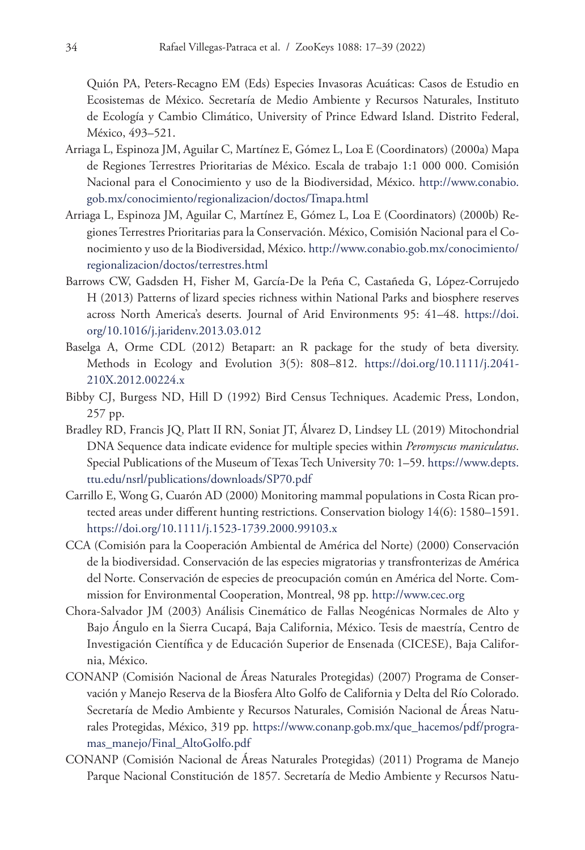Quión PA, Peters-Recagno EM (Eds) Especies Invasoras Acuáticas: Casos de Estudio en Ecosistemas de México. Secretaría de Medio Ambiente y Recursos Naturales, Instituto de Ecología y Cambio Climático, University of Prince Edward Island. Distrito Federal, México, 493–521.

- Arriaga L, Espinoza JM, Aguilar C, Martínez E, Gómez L, Loa E (Coordinators) (2000a) Mapa de Regiones Terrestres Prioritarias de México. Escala de trabajo 1:1 000 000. Comisión Nacional para el Conocimiento y uso de la Biodiversidad, México. [http://www.conabio.](http://www.conabio.gob.mx/conocimiento/regionalizacion/doctos/Tmapa.html) [gob.mx/conocimiento/regionalizacion/doctos/Tmapa.html](http://www.conabio.gob.mx/conocimiento/regionalizacion/doctos/Tmapa.html)
- Arriaga L, Espinoza JM, Aguilar C, Martínez E, Gómez L, Loa E (Coordinators) (2000b) Regiones Terrestres Prioritarias para la Conservación. México, Comisión Nacional para el Conocimiento y uso de la Biodiversidad, México. [http://www.conabio.gob.mx/conocimiento/](http://www.conabio.gob.mx/conocimiento/regionalizacion/doctos/terrestres.html) [regionalizacion/doctos/terrestres.html](http://www.conabio.gob.mx/conocimiento/regionalizacion/doctos/terrestres.html)
- Barrows CW, Gadsden H, Fisher M, García-De la Peña C, Castañeda G, López-Corrujedo H (2013) Patterns of lizard species richness within National Parks and biosphere reserves across North America's deserts. Journal of Arid Environments 95: 41–48. [https://doi.](https://doi.org/10.1016/j.jaridenv.2013.03.012) [org/10.1016/j.jaridenv.2013.03.012](https://doi.org/10.1016/j.jaridenv.2013.03.012)
- Baselga A, Orme CDL (2012) Betapart: an R package for the study of beta diversity. Methods in Ecology and Evolution 3(5): 808–812. [https://doi.org/10.1111/j.2041-](https://doi.org/10.1111/j.2041-210X.2012.00224.x) [210X.2012.00224.x](https://doi.org/10.1111/j.2041-210X.2012.00224.x)
- Bibby CJ, Burgess ND, Hill D (1992) Bird Census Techniques. Academic Press, London, 257 pp.
- Bradley RD, Francis JQ, Platt II RN, Soniat JT, Álvarez D, Lindsey LL (2019) Mitochondrial DNA Sequence data indicate evidence for multiple species within *Peromyscus maniculatus*. Special Publications of the Museum of Texas Tech University 70: 1–59. [https://www.depts.](https://www.depts.ttu.edu/nsrl/publications/downloads/SP70.pdf) [ttu.edu/nsrl/publications/downloads/SP70.pdf](https://www.depts.ttu.edu/nsrl/publications/downloads/SP70.pdf)
- Carrillo E, Wong G, Cuarón AD (2000) Monitoring mammal populations in Costa Rican protected areas under different hunting restrictions. Conservation biology 14(6): 1580–1591. <https://doi.org/10.1111/j.1523-1739.2000.99103.x>
- CCA (Comisión para la Cooperación Ambiental de América del Norte) (2000) Conservación de la biodiversidad. Conservación de las especies migratorias y transfronterizas de América del Norte. Conservación de especies de preocupación común en América del Norte. Commission for Environmental Cooperation, Montreal, 98 pp. <http://www.cec.org>
- Chora-Salvador JM (2003) Análisis Cinemático de Fallas Neogénicas Normales de Alto y Bajo Ángulo en la Sierra Cucapá, Baja California, México. Tesis de maestría, Centro de Investigación Científica y de Educación Superior de Ensenada (CICESE), Baja California, México.
- CONANP (Comisión Nacional de Áreas Naturales Protegidas) (2007) Programa de Conservación y Manejo Reserva de la Biosfera Alto Golfo de California y Delta del Río Colorado. Secretaría de Medio Ambiente y Recursos Naturales, Comisión Nacional de Áreas Naturales Protegidas, México, 319 pp. [https://www.conanp.gob.mx/que\\_hacemos/pdf/progra](https://www.conanp.gob.mx/que_hacemos/pdf/programas_manejo/Final_AltoGolfo.pdf)[mas\\_manejo/Final\\_AltoGolfo.pdf](https://www.conanp.gob.mx/que_hacemos/pdf/programas_manejo/Final_AltoGolfo.pdf)
- CONANP (Comisión Nacional de Áreas Naturales Protegidas) (2011) Programa de Manejo Parque Nacional Constitución de 1857. Secretaría de Medio Ambiente y Recursos Natu-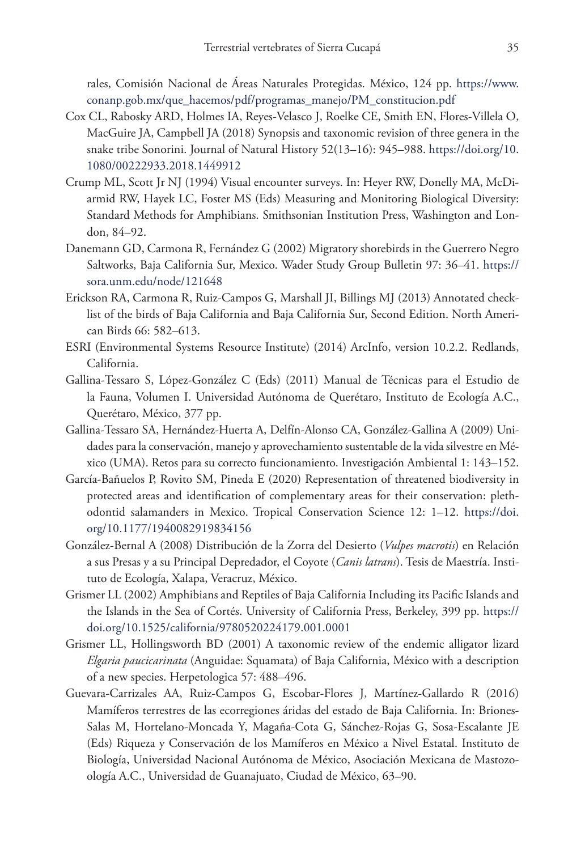rales, Comisión Nacional de Áreas Naturales Protegidas. México, 124 pp. [https://www.](https://www.conanp.gob.mx/que_hacemos/pdf/programas_manejo/PM_constitucion.pdf) [conanp.gob.mx/que\\_hacemos/pdf/programas\\_manejo/PM\\_constitucion.pdf](https://www.conanp.gob.mx/que_hacemos/pdf/programas_manejo/PM_constitucion.pdf)

- Cox CL, Rabosky ARD, Holmes IA, Reyes-Velasco J, Roelke CE, Smith EN, Flores-Villela O, MacGuire JA, Campbell JA (2018) Synopsis and taxonomic revision of three genera in the snake tribe Sonorini. Journal of Natural History 52(13–16): 945–988. [https://doi.org/10.](https://doi.org/10.1080/00222933.2018.1449912) [1080/00222933.2018.1449912](https://doi.org/10.1080/00222933.2018.1449912)
- Crump ML, Scott Jr NJ (1994) Visual encounter surveys. In: Heyer RW, Donelly MA, McDiarmid RW, Hayek LC, Foster MS (Eds) Measuring and Monitoring Biological Diversity: Standard Methods for Amphibians. Smithsonian Institution Press, Washington and London, 84–92.
- Danemann GD, Carmona R, Fernández G (2002) Migratory shorebirds in the Guerrero Negro Saltworks, Baja California Sur, Mexico. Wader Study Group Bulletin 97: 36–41. [https://](https://sora.unm.edu/node/121648) [sora.unm.edu/node/121648](https://sora.unm.edu/node/121648)
- Erickson RA, Carmona R, Ruiz-Campos G, Marshall JI, Billings MJ (2013) Annotated checklist of the birds of Baja California and Baja California Sur, Second Edition. North American Birds 66: 582–613.
- ESRI (Environmental Systems Resource Institute) (2014) ArcInfo, version 10.2.2. Redlands, California.
- Gallina-Tessaro S, López-González C (Eds) (2011) Manual de Técnicas para el Estudio de la Fauna, Volumen I. Universidad Autónoma de Querétaro, Instituto de Ecología A.C., Querétaro, México, 377 pp.
- Gallina-Tessaro SA, Hernández-Huerta A, Delfín-Alonso CA, González-Gallina A (2009) Unidades para la conservación, manejo y aprovechamiento sustentable de la vida silvestre en México (UMA). Retos para su correcto funcionamiento. Investigación Ambiental 1: 143–152.
- García-Bañuelos P, Rovito SM, Pineda E (2020) Representation of threatened biodiversity in protected areas and identification of complementary areas for their conservation: plethodontid salamanders in Mexico. Tropical Conservation Science 12: 1–12. [https://doi.](https://doi.org/10.1177/1940082919834156) [org/10.1177/1940082919834156](https://doi.org/10.1177/1940082919834156)
- González-Bernal A (2008) Distribución de la Zorra del Desierto (*Vulpes macrotis*) en Relación a sus Presas y a su Principal Depredador, el Coyote (*Canis latrans*). Tesis de Maestría. Instituto de Ecología, Xalapa, Veracruz, México.
- Grismer LL (2002) Amphibians and Reptiles of Baja California Including its Pacific Islands and the Islands in the Sea of Cortés. University of California Press, Berkeley, 399 pp. [https://](https://doi.org/10.1525/california/9780520224179.001.0001) [doi.org/10.1525/california/9780520224179.001.0001](https://doi.org/10.1525/california/9780520224179.001.0001)
- Grismer LL, Hollingsworth BD (2001) A taxonomic review of the endemic alligator lizard *Elgaria paucicarinata* (Anguidae: Squamata) of Baja California, México with a description of a new species. Herpetologica 57: 488–496.
- Guevara-Carrizales AA, Ruiz-Campos G, Escobar-Flores J, Martínez-Gallardo R (2016) Mamíferos terrestres de las ecorregiones áridas del estado de Baja California. In: Briones-Salas M, Hortelano-Moncada Y, Magaña-Cota G, Sánchez-Rojas G, Sosa-Escalante JE (Eds) Riqueza y Conservación de los Mamíferos en México a Nivel Estatal. Instituto de Biología, Universidad Nacional Autónoma de México, Asociación Mexicana de Mastozoología A.C., Universidad de Guanajuato, Ciudad de México, 63–90.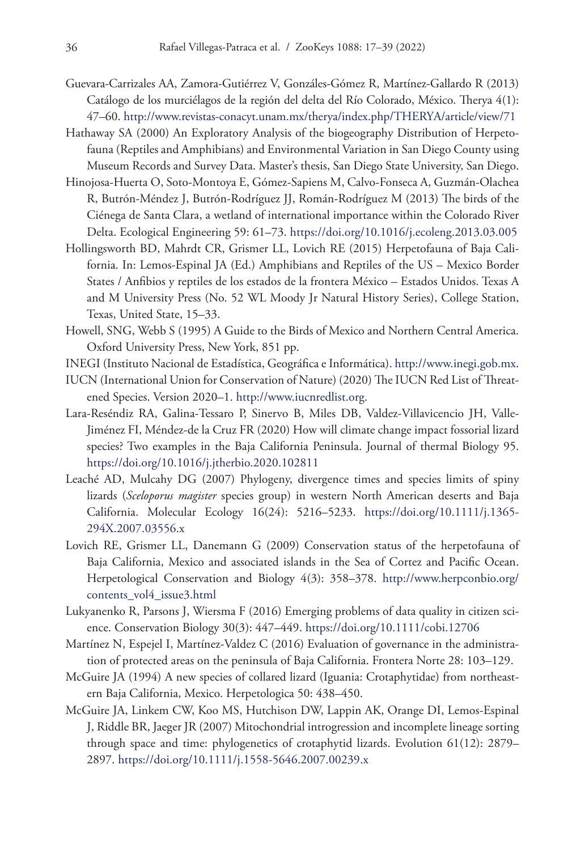- Guevara-Carrizales AA, Zamora-Gutiérrez V, Gonzáles-Gómez R, Martínez-Gallardo R (2013) Catálogo de los murciélagos de la región del delta del Río Colorado, México. Therya 4(1): 47–60.<http://www.revistas-conacyt.unam.mx/therya/index.php/THERYA/article/view/71>
- Hathaway SA (2000) An Exploratory Analysis of the biogeography Distribution of Herpetofauna (Reptiles and Amphibians) and Environmental Variation in San Diego County using Museum Records and Survey Data. Master's thesis, San Diego State University, San Diego.
- Hinojosa-Huerta O, Soto-Montoya E, Gómez-Sapiens M, Calvo-Fonseca A, Guzmán-Olachea R, Butrón-Méndez J, Butrón-Rodríguez JJ, Román-Rodríguez M (2013) The birds of the Ciénega de Santa Clara, a wetland of international importance within the Colorado River Delta. Ecological Engineering 59: 61–73.<https://doi.org/10.1016/j.ecoleng.2013.03.005>
- Hollingsworth BD, Mahrdt CR, Grismer LL, Lovich RE (2015) Herpetofauna of Baja California. In: Lemos-Espinal JA (Ed.) Amphibians and Reptiles of the US – Mexico Border States / Anfibios y reptiles de los estados de la frontera México – Estados Unidos. Texas A and M University Press (No. 52 WL Moody Jr Natural History Series), College Station, Texas, United State, 15–33.
- Howell, SNG, Webb S (1995) A Guide to the Birds of Mexico and Northern Central America. Oxford University Press, New York, 851 pp.
- INEGI (Instituto Nacional de Estadística, Geográfica e Informática). [http://www.inegi.gob.mx.](http://www.inegi.gob.mx)
- IUCN (International Union for Conservation of Nature) (2020) The IUCN Red List of Threatened Species. Version 2020–1. [http://www.iucnredlist.org.](http://www.iucnredlist.org)
- Lara-Reséndiz RA, Galina-Tessaro P, Sinervo B, Miles DB, Valdez-Villavicencio JH, Valle-Jiménez FI, Méndez-de la Cruz FR (2020) How will climate change impact fossorial lizard species? Two examples in the Baja California Peninsula. Journal of thermal Biology 95. <https://doi.org/10.1016/j.jtherbio.2020.102811>
- Leaché AD, Mulcahy DG (2007) Phylogeny, divergence times and species limits of spiny lizards (*Sceloporus magister* species group) in western North American deserts and Baja California. Molecular Ecology 16(24): 5216–5233. [https://doi.org/10.1111/j.1365-](https://doi.org/10.1111/j.1365-294X.2007.03556.x) [294X.2007.03556.x](https://doi.org/10.1111/j.1365-294X.2007.03556.x)
- Lovich RE, Grismer LL, Danemann G (2009) Conservation status of the herpetofauna of Baja California, Mexico and associated islands in the Sea of Cortez and Pacific Ocean. Herpetological Conservation and Biology 4(3): 358–378. [http://www.herpconbio.org/](http://www.herpconbio.org/contents_vol4_issue3.html) [contents\\_vol4\\_issue3.html](http://www.herpconbio.org/contents_vol4_issue3.html)
- Lukyanenko R, Parsons J, Wiersma F (2016) Emerging problems of data quality in citizen science. Conservation Biology 30(3): 447–449.<https://doi.org/10.1111/cobi.12706>
- Martínez N, Espejel I, Martínez-Valdez C (2016) Evaluation of governance in the administration of protected areas on the peninsula of Baja California. Frontera Norte 28: 103–129.
- McGuire JA (1994) A new species of collared lizard (Iguania: Crotaphytidae) from northeastern Baja California, Mexico. Herpetologica 50: 438–450.
- McGuire JA, Linkem CW, Koo MS, Hutchison DW, Lappin AK, Orange DI, Lemos-Espinal J, Riddle BR, Jaeger JR (2007) Mitochondrial introgression and incomplete lineage sorting through space and time: phylogenetics of crotaphytid lizards. Evolution 61(12): 2879– 2897.<https://doi.org/10.1111/j.1558-5646.2007.00239.x>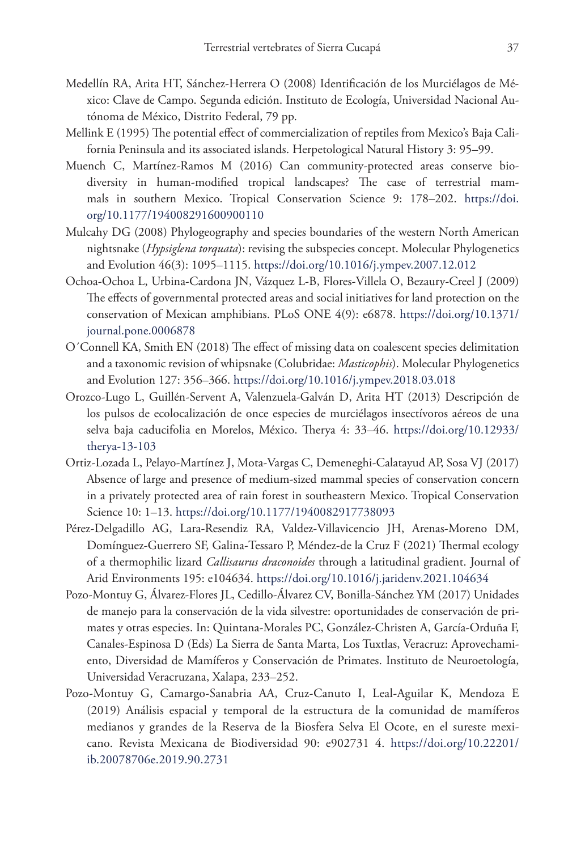- Medellín RA, Arita HT, Sánchez-Herrera O (2008) Identificación de los Murciélagos de México: Clave de Campo. Segunda edición. Instituto de Ecología, Universidad Nacional Autónoma de México, Distrito Federal, 79 pp.
- Mellink E (1995) The potential effect of commercialization of reptiles from Mexico's Baja California Peninsula and its associated islands. Herpetological Natural History 3: 95–99.
- Muench C, Martínez-Ramos M (2016) Can community-protected areas conserve biodiversity in human-modified tropical landscapes? The case of terrestrial mammals in southern Mexico. Tropical Conservation Science 9: 178–202. [https://doi.](https://doi.org/10.1177/194008291600900110) [org/10.1177/194008291600900110](https://doi.org/10.1177/194008291600900110)
- Mulcahy DG (2008) Phylogeography and species boundaries of the western North American nightsnake (*Hypsiglena torquata*): revising the subspecies concept. Molecular Phylogenetics and Evolution 46(3): 1095–1115.<https://doi.org/10.1016/j.ympev.2007.12.012>
- Ochoa-Ochoa L, Urbina-Cardona JN, Vázquez L-B, Flores-Villela O, Bezaury-Creel J (2009) The effects of governmental protected areas and social initiatives for land protection on the conservation of Mexican amphibians. PLoS ONE 4(9): e6878. [https://doi.org/10.1371/](https://doi.org/10.1371/journal.pone.0006878) [journal.pone.0006878](https://doi.org/10.1371/journal.pone.0006878)
- O´Connell KA, Smith EN (2018) The effect of missing data on coalescent species delimitation and a taxonomic revision of whipsnake (Colubridae: *Masticophis*). Molecular Phylogenetics and Evolution 127: 356–366. <https://doi.org/10.1016/j.ympev.2018.03.018>
- Orozco-Lugo L, Guillén-Servent A, Valenzuela-Galván D, Arita HT (2013) Descripción de los pulsos de ecolocalización de once especies de murciélagos insectívoros aéreos de una selva baja caducifolia en Morelos, México. Therya 4: 33–46. [https://doi.org/10.12933/](https://doi.org/10.12933/therya-13-103) [therya-13-103](https://doi.org/10.12933/therya-13-103)
- Ortiz-Lozada L, Pelayo-Martínez J, Mota-Vargas C, Demeneghi-Calatayud AP, Sosa VJ (2017) Absence of large and presence of medium-sized mammal species of conservation concern in a privately protected area of rain forest in southeastern Mexico. Tropical Conservation Science 10: 1–13. <https://doi.org/10.1177/1940082917738093>
- Pérez-Delgadillo AG, Lara-Resendiz RA, Valdez-Villavicencio JH, Arenas-Moreno DM, Domínguez-Guerrero SF, Galina-Tessaro P, Méndez-de la Cruz F (2021) Thermal ecology of a thermophilic lizard *Callisaurus draconoides* through a latitudinal gradient. Journal of Arid Environments 195: e104634.<https://doi.org/10.1016/j.jaridenv.2021.104634>
- Pozo-Montuy G, Álvarez-Flores JL, Cedillo-Álvarez CV, Bonilla-Sánchez YM (2017) Unidades de manejo para la conservación de la vida silvestre: oportunidades de conservación de primates y otras especies. In: Quintana-Morales PC, González-Christen A, García-Orduña F, Canales-Espinosa D (Eds) La Sierra de Santa Marta, Los Tuxtlas, Veracruz: Aprovechamiento, Diversidad de Mamíferos y Conservación de Primates. Instituto de Neuroetología, Universidad Veracruzana, Xalapa, 233–252.
- Pozo-Montuy G, Camargo-Sanabria AA, Cruz-Canuto I, Leal-Aguilar K, Mendoza E (2019) Análisis espacial y temporal de la estructura de la comunidad de mamíferos medianos y grandes de la Reserva de la Biosfera Selva El Ocote, en el sureste mexicano. Revista Mexicana de Biodiversidad 90: e902731 4. [https://doi.org/10.22201/](https://doi.org/10.22201/ib.20078706e.2019.90.2731) [ib.20078706e.2019.90.2731](https://doi.org/10.22201/ib.20078706e.2019.90.2731)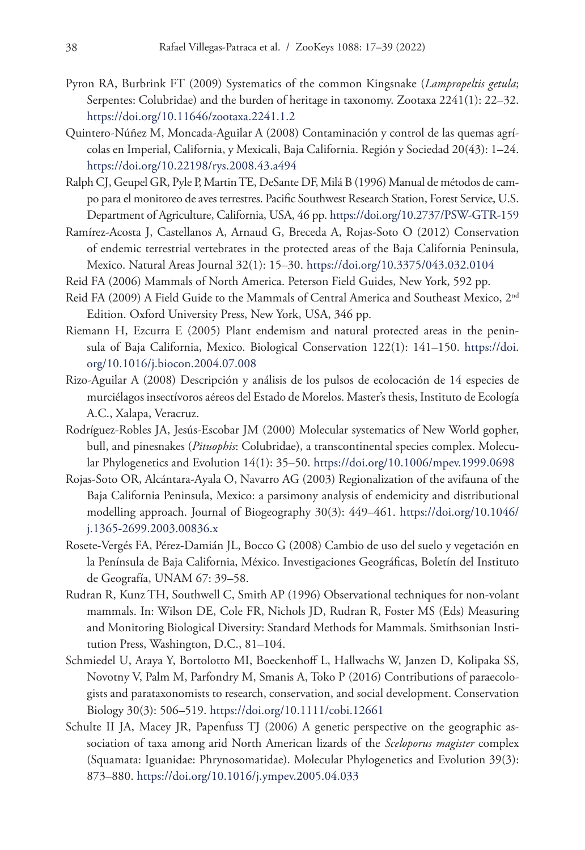- Pyron RA, Burbrink FT (2009) Systematics of the common Kingsnake (*Lampropeltis getula*; Serpentes: Colubridae) and the burden of heritage in taxonomy. Zootaxa 2241(1): 22–32. <https://doi.org/10.11646/zootaxa.2241.1.2>
- Quintero-Núñez M, Moncada-Aguilar A (2008) Contaminación y control de las quemas agrícolas en Imperial, California, y Mexicali, Baja California. Región y Sociedad 20(43): 1–24. <https://doi.org/10.22198/rys.2008.43.a494>
- Ralph CJ, Geupel GR, Pyle P, Martin TE, DeSante DF, Milá B (1996) Manual de métodos de campo para el monitoreo de aves terrestres. Pacific Southwest Research Station, Forest Service, U.S. Department of Agriculture, California, USA, 46 pp.<https://doi.org/10.2737/PSW-GTR-159>
- Ramírez-Acosta J, Castellanos A, Arnaud G, Breceda A, Rojas-Soto O (2012) Conservation of endemic terrestrial vertebrates in the protected areas of the Baja California Peninsula, Mexico. Natural Areas Journal 32(1): 15–30.<https://doi.org/10.3375/043.032.0104>
- Reid FA (2006) Mammals of North America. Peterson Field Guides, New York, 592 pp.
- Reid FA (2009) A Field Guide to the Mammals of Central America and Southeast Mexico,  $2<sup>nd</sup>$ Edition. Oxford University Press, New York, USA, 346 pp.
- Riemann H, Ezcurra E (2005) Plant endemism and natural protected areas in the peninsula of Baja California, Mexico. Biological Conservation 122(1): 141–150. [https://doi.](https://doi.org/10.1016/j.biocon.2004.07.008) [org/10.1016/j.biocon.2004.07.008](https://doi.org/10.1016/j.biocon.2004.07.008)
- Rizo-Aguilar A (2008) Descripción y análisis de los pulsos de ecolocación de 14 especies de murciélagos insectívoros aéreos del Estado de Morelos. Master's thesis, Instituto de Ecología A.C., Xalapa, Veracruz.
- Rodríguez-Robles JA, Jesús-Escobar JM (2000) Molecular systematics of New World gopher, bull, and pinesnakes (*Pituophis*: Colubridae), a transcontinental species complex. Molecular Phylogenetics and Evolution 14(1): 35–50. <https://doi.org/10.1006/mpev.1999.0698>
- Rojas-Soto OR, Alcántara-Ayala O, Navarro AG (2003) Regionalization of the avifauna of the Baja California Peninsula, Mexico: a parsimony analysis of endemicity and distributional modelling approach. Journal of Biogeography 30(3): 449–461. [https://doi.org/10.1046/](https://doi.org/10.1046/j.1365-2699.2003.00836.x) [j.1365-2699.2003.00836.x](https://doi.org/10.1046/j.1365-2699.2003.00836.x)
- Rosete-Vergés FA, Pérez-Damián JL, Bocco G (2008) Cambio de uso del suelo y vegetación en la Península de Baja California, México. Investigaciones Geográficas, Boletín del Instituto de Geografía, UNAM 67: 39–58.
- Rudran R, Kunz TH, Southwell C, Smith AP (1996) Observational techniques for non-volant mammals. In: Wilson DE, Cole FR, Nichols JD, Rudran R, Foster MS (Eds) Measuring and Monitoring Biological Diversity: Standard Methods for Mammals. Smithsonian Institution Press, Washington, D.C., 81–104.
- Schmiedel U, Araya Y, Bortolotto MI, Boeckenhoff L, Hallwachs W, Janzen D, Kolipaka SS, Novotny V, Palm M, Parfondry M, Smanis A, Toko P (2016) Contributions of paraecologists and parataxonomists to research, conservation, and social development. Conservation Biology 30(3): 506–519. <https://doi.org/10.1111/cobi.12661>
- Schulte II JA, Macey JR, Papenfuss TJ (2006) A genetic perspective on the geographic association of taxa among arid North American lizards of the *Sceloporus magister* complex (Squamata: Iguanidae: Phrynosomatidae). Molecular Phylogenetics and Evolution 39(3): 873–880.<https://doi.org/10.1016/j.ympev.2005.04.033>